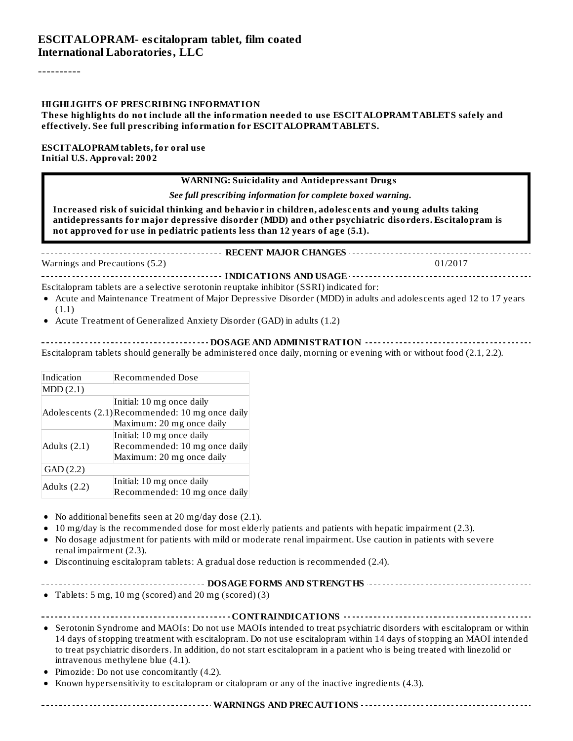----------

#### **HIGHLIGHTS OF PRESCRIBING INFORMATION**

#### **These highlights do not include all the information needed to use ESCITALOPRAMTABLETS safely and effectively. See full prescribing information for ESCITALOPRAMTABLETS.**

#### **ESCITALOPRAMtablets, for oral use Initial U.S. Approval: 2002**

#### **WARNING: Suicidality and Antidepressant Drugs**

*See full prescribing information for complete boxed warning.*

**Increased risk of suicidal thinking and behavior in children, adolescents and young adults taking antidepressants for major depressive disorder (MDD) and other psychiatric disorders. Escitalopram is not approved for use in pediatric patients less than 12 years of age (5.1).**

**RECENT MAJOR CHANGES**

Warnings and Precautions (5.2) 01/2017

**INDICATIONS AND USAGE INDICATIONS AND USAGE** *CONSIDERATIONS* **AND USAGE** *ALCORATIONS* **AND USAGE** *CONSIDERATIONS* Escitalopram tablets are a selective serotonin reuptake inhibitor (SSRI) indicated for:

- Acute and Maintenance Treatment of Major Depressive Disorder (MDD) in adults and adolescents aged 12 to 17 years (1.1)
- Acute Treatment of Generalized Anxiety Disorder (GAD) in adults (1.2)

**DOSAGE AND ADMINISTRATION** Escitalopram tablets should generally be administered once daily, morning or evening with or without food (2.1, 2.2).

| Indication<br>Recommended Dose |                                                 |  |
|--------------------------------|-------------------------------------------------|--|
| MDD(2.1)                       |                                                 |  |
|                                | Initial: 10 mg once daily                       |  |
|                                | Adolescents (2.1) Recommended: 10 mg once daily |  |
|                                | Maximum: 20 mg once daily                       |  |
|                                | Initial: 10 mg once daily                       |  |
| Adults $(2.1)$                 | Recommended: 10 mg once daily                   |  |
|                                | Maximum: 20 mg once daily                       |  |
| GAD(2.2)                       |                                                 |  |
|                                | Initial: 10 mg once daily                       |  |
| Adults (2.2)                   | Recommended: 10 mg once daily                   |  |

- No additional benefits seen at 20 mg/day dose (2.1).
- 10 mg/day is the recommended dose for most elderly patients and patients with hepatic impairment (2.3).  $\bullet$
- No dosage adjustment for patients with mild or moderate renal impairment. Use caution in patients with severe  $\bullet$ renal impairment (2.3).
- Discontinuing escitalopram tablets: A gradual dose reduction is recommended (2.4).  $\bullet$

#### **DOSAGE FORMS AND STRENGTHS**

Tablets: 5 mg, 10 mg (scored) and 20 mg (scored) (3)

#### **CONTRAINDICATIONS**

- Serotonin Syndrome and MAOIs: Do not use MAOIs intended to treat psychiatric disorders with escitalopram or within 14 days of stopping treatment with escitalopram. Do not use escitalopram within 14 days of stopping an MAOI intended to treat psychiatric disorders. In addition, do not start escitalopram in a patient who is being treated with linezolid or intravenous methylene blue (4.1).
- Pimozide: Do not use concomitantly (4.2).
- Known hypersensitivity to escitalopram or citalopram or any of the inactive ingredients (4.3).

#### **WARNINGS AND PRECAUTIONS**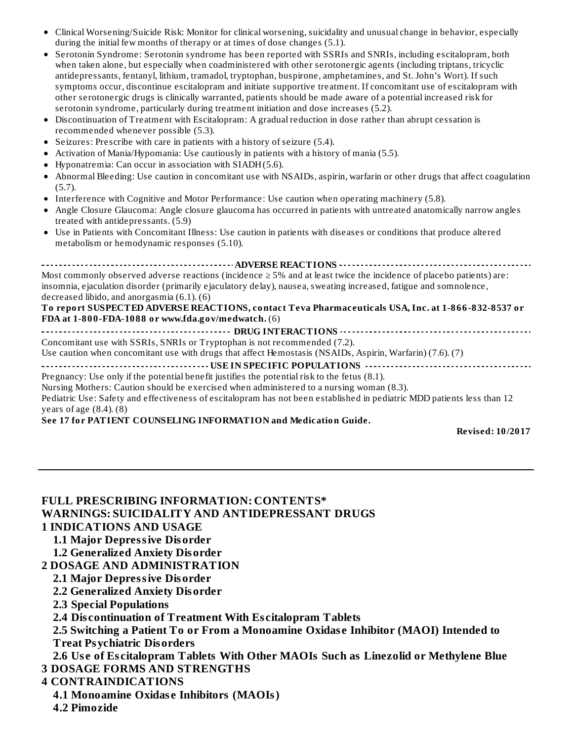- Clinical Worsening/Suicide Risk: Monitor for clinical worsening, suicidality and unusual change in behavior, especially during the initial few months of therapy or at times of dose changes (5.1).
- Serotonin Syndrome: Serotonin syndrome has been reported with SSRIs and SNRIs, including escitalopram, both  $\bullet$ when taken alone, but especially when coadministered with other serotonergic agents (including triptans, tricyclic antidepressants, fentanyl, lithium, tramadol, tryptophan, buspirone, amphetamines, and St. John's Wort). If such symptoms occur, discontinue escitalopram and initiate supportive treatment. If concomitant use of escitalopram with other serotonergic drugs is clinically warranted, patients should be made aware of a potential increased risk for serotonin syndrome, particularly during treatment initiation and dose increases (5.2).
- Discontinuation of Treatment with Escitalopram: A gradual reduction in dose rather than abrupt cessation is  $\bullet$ recommended whenever possible (5.3).
- Seizures: Prescribe with care in patients with a history of seizure (5.4).
- Activation of Mania/Hypomania: Use cautiously in patients with a history of mania (5.5).  $\bullet$
- Hyponatremia: Can occur in association with SIADH(5.6).
- Abnormal Bleeding: Use caution in concomitant use with NSAIDs, aspirin, warfarin or other drugs that affect coagulation (5.7).
- Interference with Cognitive and Motor Performance: Use caution when operating machinery (5.8).
- Angle Closure Glaucoma: Angle closure glaucoma has occurred in patients with untreated anatomically narrow angles treated with antidepressants. (5.9)
- Use in Patients with Concomitant Illness: Use caution in patients with diseases or conditions that produce altered metabolism or hemodynamic responses (5.10).

**ADVERSE REACTIONS** Most commonly observed adverse reactions (incidence  $\geq$  5% and at least twice the incidence of placebo patients) are: insomnia, ejaculation disorder (primarily ejaculatory delay), nausea, sweating increased, fatigue and somnolence, decreased libido, and anorgasmia (6.1). (6) **To report SUSPECTED ADVERSE REACTIONS, contact Teva Pharmaceuticals USA, Inc. at 1-866-832-8537 or FDA at 1-800-FDA-1088 or www.fda.gov/medwatch.** (6)

**DRUG INTERACTIONS** Concomitant use with SSRIs, SNRIs or Tryptophan is not recommended (7.2). Use caution when concomitant use with drugs that affect Hemostasis (NSAIDs, Aspirin, Warfarin) (7.6). (7) **USE IN SPECIFIC POPULATIONS**

Pregnancy: Use only if the potential benefit justifies the potential risk to the fetus (8.1).

Nursing Mothers: Caution should be exercised when administered to a nursing woman (8.3).

Pediatric Use: Safety and effectiveness of escitalopram has not been established in pediatric MDD patients less than 12 years of age  $(8.4)$ .  $(8)$ 

**See 17 for PATIENT COUNSELING INFORMATION and Medication Guide.**

**Revised: 10/2017**

#### **FULL PRESCRIBING INFORMATION: CONTENTS\* WARNINGS: SUICIDALITY AND ANTIDEPRESSANT DRUGS 1 INDICATIONS AND USAGE**

#### **1.1 Major Depressive Disorder**

- **1.2 Generalized Anxiety Disorder**
- **2 DOSAGE AND ADMINISTRATION**
	- **2.1 Major Depressive Disorder**
	- **2.2 Generalized Anxiety Disorder**
	- **2.3 Special Populations**
	- **2.4 Dis continuation of Treatment With Es citalopram Tablets**
	- **2.5 Switching a Patient To or From a Monoamine Oxidas e Inhibitor (MAOI) Intended to Treat Psychiatric Disorders**

**2.6 Us e of Es citalopram Tablets With Other MAOIs Such as Linezolid or Methylene Blue 3 DOSAGE FORMS AND STRENGTHS**

#### **4 CONTRAINDICATIONS**

- **4.1 Monoamine Oxidas e Inhibitors (MAOIs)**
- **4.2 Pimozide**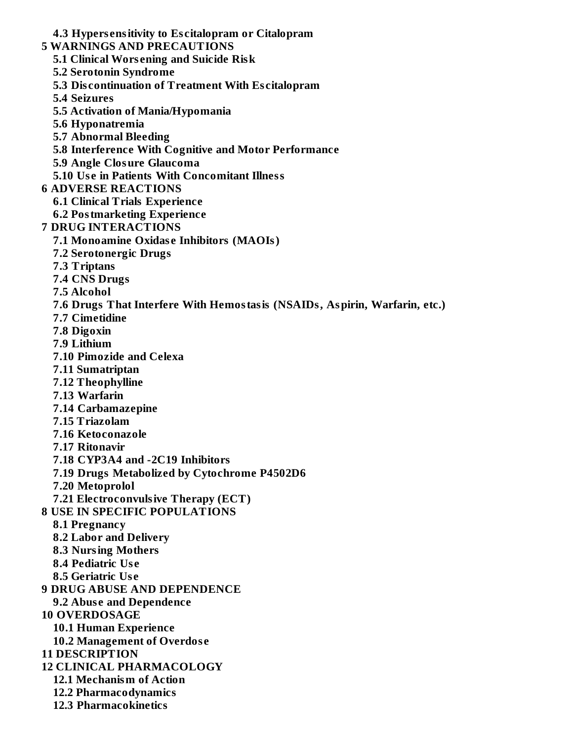- **4.3 Hypers ensitivity to Es citalopram or Citalopram**
- **5 WARNINGS AND PRECAUTIONS**
	- **5.1 Clinical Wors ening and Suicide Risk**
	- **5.2 Serotonin Syndrome**
	- **5.3 Dis continuation of Treatment With Es citalopram**
	- **5.4 Seizures**
	- **5.5 Activation of Mania/Hypomania**
	- **5.6 Hyponatremia**
	- **5.7 Abnormal Bleeding**
	- **5.8 Interference With Cognitive and Motor Performance**
	- **5.9 Angle Closure Glaucoma**

**5.10 Us e in Patients With Concomitant Illness**

- **6 ADVERSE REACTIONS**
	- **6.1 Clinical Trials Experience**
	- **6.2 Postmarketing Experience**
- **7 DRUG INTERACTIONS**
	- **7.1 Monoamine Oxidas e Inhibitors (MAOIs)**
	- **7.2 Serotonergic Drugs**
	- **7.3 Triptans**
	- **7.4 CNS Drugs**
	- **7.5 Alcohol**
	- **7.6 Drugs That Interfere With Hemostasis (NSAIDs, Aspirin, Warfarin, etc.)**
	- **7.7 Cimetidine**
	- **7.8 Digoxin**
	- **7.9 Lithium**
	- **7.10 Pimozide and Celexa**
	- **7.11 Sumatriptan**
	- **7.12 Theophylline**
	- **7.13 Warfarin**
	- **7.14 Carbamazepine**
	- **7.15 Triazolam**
	- **7.16 Ketoconazole**
	- **7.17 Ritonavir**
	- **7.18 CYP3A4 and -2C19 Inhibitors**
	- **7.19 Drugs Metabolized by Cytochrome P4502D6**
	- **7.20 Metoprolol**
	- **7.21 Electroconvulsive Therapy (ECT)**
- **8 USE IN SPECIFIC POPULATIONS**
	- **8.1 Pregnancy**
	- **8.2 Labor and Delivery**
	- **8.3 Nursing Mothers**
	- **8.4 Pediatric Us e**
	- **8.5 Geriatric Us e**
- **9 DRUG ABUSE AND DEPENDENCE**
- **9.2 Abus e and Dependence**
- **10 OVERDOSAGE**
	- **10.1 Human Experience**
	- **10.2 Management of Overdos e**
- **11 DESCRIPTION**
- **12 CLINICAL PHARMACOLOGY**
	- **12.1 Mechanism of Action**
	- **12.2 Pharmacodynamics**
	- **12.3 Pharmacokinetics**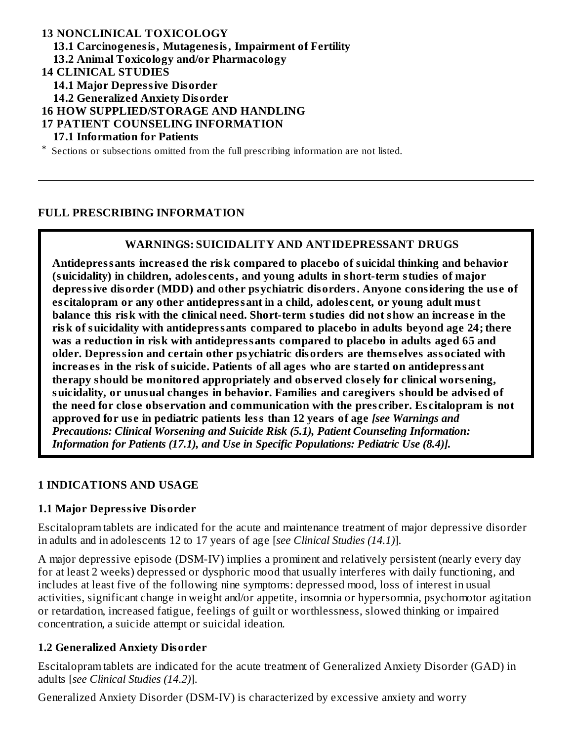#### **13 NONCLINICAL TOXICOLOGY 13.1 Carcinogenesis, Mutagenesis, Impairment of Fertility 13.2 Animal Toxicology and/or Pharmacology 14 CLINICAL STUDIES 14.1 Major Depressive Disorder 14.2 Generalized Anxiety Disorder 16 HOW SUPPLIED/STORAGE AND HANDLING 17 PATIENT COUNSELING INFORMATION 17.1 Information for Patients** \* Sections or subsections omitted from the full prescribing information are not listed.

### **FULL PRESCRIBING INFORMATION**

### **WARNINGS: SUICIDALITY AND ANTIDEPRESSANT DRUGS**

**Antidepressants increas ed the risk compared to placebo of suicidal thinking and behavior (suicidality) in children, adoles cents, and young adults in short-term studies of major depressive disorder (MDD) and other psychiatric disorders. Anyone considering the us e of es citalopram or any other antidepressant in a child, adoles cent, or young adult must balance this risk with the clinical need. Short-term studies did not show an increas e in the risk of suicidality with antidepressants compared to placebo in adults beyond age 24; there was a reduction in risk with antidepressants compared to placebo in adults aged 65 and older. Depression and certain other psychiatric disorders are thems elves associated with increas es in the risk of suicide. Patients of all ages who are started on antidepressant therapy should be monitored appropriately and obs erved clos ely for clinical wors ening, suicidality, or unusual changes in behavior. Families and caregivers should be advis ed of the need for clos e obs ervation and communication with the pres criber. Es citalopram is not approved for us e in pediatric patients less than 12 years of age** *[see Warnings and Precautions: Clinical Worsening and Suicide Risk (5.1), Patient Counseling Information: Information for Patients (17.1), and Use in Specific Populations: Pediatric Use (8.4)].*

### **1 INDICATIONS AND USAGE**

### **1.1 Major Depressive Disorder**

Escitalopram tablets are indicated for the acute and maintenance treatment of major depressive disorder in adults and in adolescents 12 to 17 years of age [*see Clinical Studies (14.1)*].

A major depressive episode (DSM-IV) implies a prominent and relatively persistent (nearly every day for at least 2 weeks) depressed or dysphoric mood that usually interferes with daily functioning, and includes at least five of the following nine symptoms: depressed mood, loss of interest in usual activities, significant change in weight and/or appetite, insomnia or hypersomnia, psychomotor agitation or retardation, increased fatigue, feelings of guilt or worthlessness, slowed thinking or impaired concentration, a suicide attempt or suicidal ideation.

### **1.2 Generalized Anxiety Disorder**

Escitalopram tablets are indicated for the acute treatment of Generalized Anxiety Disorder (GAD) in adults [*see Clinical Studies (14.2)*].

Generalized Anxiety Disorder (DSM-IV) is characterized by excessive anxiety and worry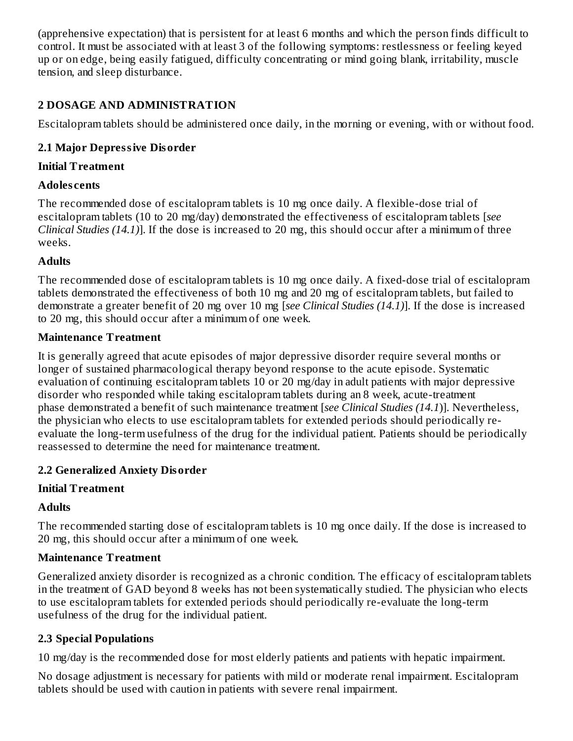(apprehensive expectation) that is persistent for at least 6 months and which the person finds difficult to control. It must be associated with at least 3 of the following symptoms: restlessness or feeling keyed up or on edge, being easily fatigued, difficulty concentrating or mind going blank, irritability, muscle tension, and sleep disturbance.

# **2 DOSAGE AND ADMINISTRATION**

Escitalopram tablets should be administered once daily, in the morning or evening, with or without food.

## **2.1 Major Depressive Disorder**

#### **Initial Treatment**

### **Adoles cents**

The recommended dose of escitalopram tablets is 10 mg once daily. A flexible-dose trial of escitalopram tablets (10 to 20 mg/day) demonstrated the effectiveness of escitalopram tablets [*see Clinical Studies (14.1)*]. If the dose is increased to 20 mg, this should occur after a minimum of three weeks.

### **Adults**

The recommended dose of escitalopram tablets is 10 mg once daily. A fixed-dose trial of escitalopram tablets demonstrated the effectiveness of both 10 mg and 20 mg of escitalopram tablets, but failed to demonstrate a greater benefit of 20 mg over 10 mg [*see Clinical Studies (14.1)*]. If the dose is increased to 20 mg, this should occur after a minimum of one week.

#### **Maintenance Treatment**

It is generally agreed that acute episodes of major depressive disorder require several months or longer of sustained pharmacological therapy beyond response to the acute episode. Systematic evaluation of continuing escitalopram tablets 10 or 20 mg/day in adult patients with major depressive disorder who responded while taking escitalopram tablets during an 8 week, acute-treatment phase demonstrated a benefit of such maintenance treatment [*see Clinical Studies (14.1*)]. Nevertheless, the physician who elects to use escitalopram tablets for extended periods should periodically reevaluate the long-term usefulness of the drug for the individual patient. Patients should be periodically reassessed to determine the need for maintenance treatment.

### **2.2 Generalized Anxiety Disorder**

### **Initial Treatment**

### **Adults**

The recommended starting dose of escitalopram tablets is 10 mg once daily. If the dose is increased to 20 mg, this should occur after a minimum of one week.

### **Maintenance Treatment**

Generalized anxiety disorder is recognized as a chronic condition. The efficacy of escitalopram tablets in the treatment of GAD beyond 8 weeks has not been systematically studied. The physician who elects to use escitalopram tablets for extended periods should periodically re-evaluate the long-term usefulness of the drug for the individual patient.

# **2.3 Special Populations**

10 mg/day is the recommended dose for most elderly patients and patients with hepatic impairment.

No dosage adjustment is necessary for patients with mild or moderate renal impairment. Escitalopram tablets should be used with caution in patients with severe renal impairment.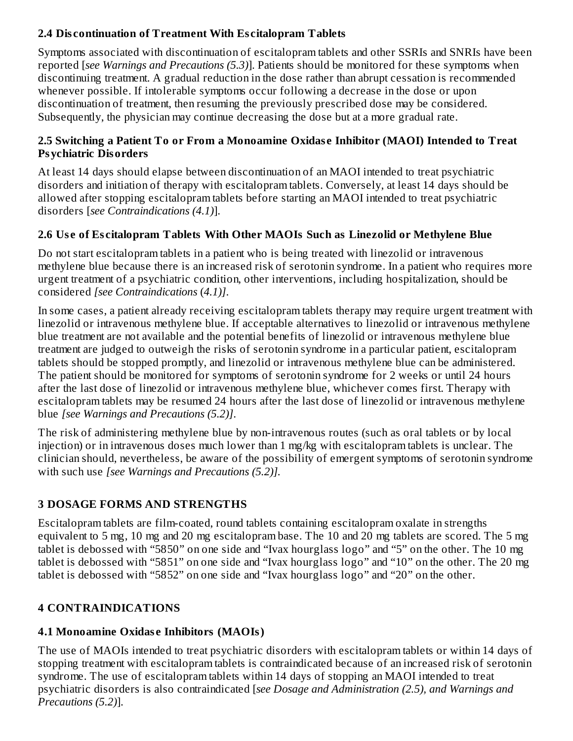# **2.4 Dis continuation of Treatment With Es citalopram Tablets**

Symptoms associated with discontinuation of escitalopram tablets and other SSRIs and SNRIs have been reported [*see Warnings and Precautions (5.3)*]. Patients should be monitored for these symptoms when discontinuing treatment. A gradual reduction in the dose rather than abrupt cessation is recommended whenever possible. If intolerable symptoms occur following a decrease in the dose or upon discontinuation of treatment, then resuming the previously prescribed dose may be considered. Subsequently, the physician may continue decreasing the dose but at a more gradual rate.

### **2.5 Switching a Patient To or From a Monoamine Oxidas e Inhibitor (MAOI) Intended to Treat Psychiatric Disorders**

At least 14 days should elapse between discontinuation of an MAOI intended to treat psychiatric disorders and initiation of therapy with escitalopram tablets. Conversely, at least 14 days should be allowed after stopping escitalopram tablets before starting an MAOI intended to treat psychiatric disorders [*see Contraindications (4.1)*].

# **2.6 Us e of Es citalopram Tablets With Other MAOIs Such as Linezolid or Methylene Blue**

Do not start escitalopram tablets in a patient who is being treated with linezolid or intravenous methylene blue because there is an increased risk of serotonin syndrome. In a patient who requires more urgent treatment of a psychiatric condition, other interventions, including hospitalization, should be considered *[see Contraindications* (*4.1)]*.

In some cases, a patient already receiving escitalopram tablets therapy may require urgent treatment with linezolid or intravenous methylene blue. If acceptable alternatives to linezolid or intravenous methylene blue treatment are not available and the potential benefits of linezolid or intravenous methylene blue treatment are judged to outweigh the risks of serotonin syndrome in a particular patient, escitalopram tablets should be stopped promptly, and linezolid or intravenous methylene blue can be administered. The patient should be monitored for symptoms of serotonin syndrome for 2 weeks or until 24 hours after the last dose of linezolid or intravenous methylene blue, whichever comes first. Therapy with escitalopram tablets may be resumed 24 hours after the last dose of linezolid or intravenous methylene blue *[see Warnings and Precautions (5.2)]*.

The risk of administering methylene blue by non-intravenous routes (such as oral tablets or by local injection) or in intravenous doses much lower than 1 mg/kg with escitalopram tablets is unclear. The clinician should, nevertheless, be aware of the possibility of emergent symptoms of serotonin syndrome with such use *[see Warnings and Precautions (5.2)].*

# **3 DOSAGE FORMS AND STRENGTHS**

Escitalopram tablets are film-coated, round tablets containing escitalopram oxalate in strengths equivalent to 5 mg, 10 mg and 20 mg escitalopram base. The 10 and 20 mg tablets are scored. The 5 mg tablet is debossed with "5850" on one side and "Ivax hourglass logo" and "5" on the other. The 10 mg tablet is debossed with "5851" on one side and "Ivax hourglass logo" and "10" on the other. The 20 mg tablet is debossed with "5852" on one side and "Ivax hourglass logo" and "20" on the other.

# **4 CONTRAINDICATIONS**

# **4.1 Monoamine Oxidas e Inhibitors (MAOIs)**

The use of MAOIs intended to treat psychiatric disorders with escitalopram tablets or within 14 days of stopping treatment with escitalopram tablets is contraindicated because of an increased risk of serotonin syndrome. The use of escitalopram tablets within 14 days of stopping an MAOI intended to treat psychiatric disorders is also contraindicated [*see Dosage and Administration (2.5), and Warnings and Precautions (5.2)*].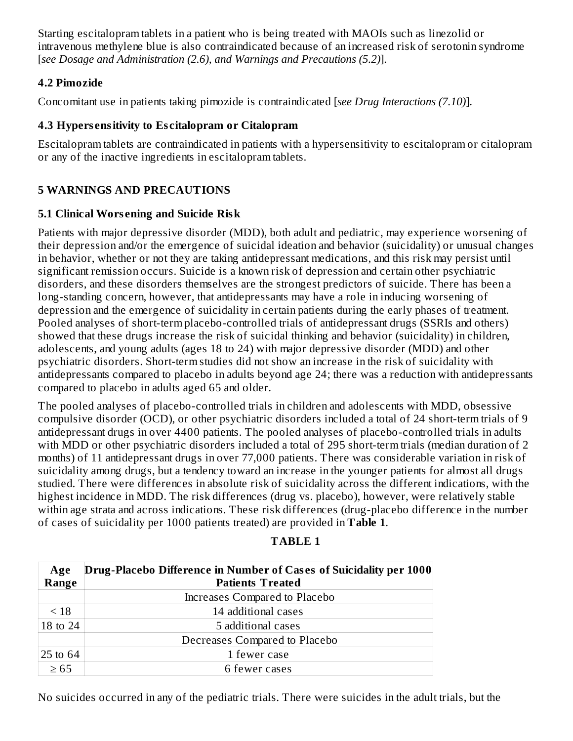Starting escitalopram tablets in a patient who is being treated with MAOIs such as linezolid or intravenous methylene blue is also contraindicated because of an increased risk of serotonin syndrome [*see Dosage and Administration (2.6), and Warnings and Precautions (5.2)*].

### **4.2 Pimozide**

Concomitant use in patients taking pimozide is contraindicated [*see Drug Interactions (7.10)*].

## **4.3 Hypers ensitivity to Es citalopram or Citalopram**

Escitalopram tablets are contraindicated in patients with a hypersensitivity to escitalopram or citalopram or any of the inactive ingredients in escitalopram tablets.

# **5 WARNINGS AND PRECAUTIONS**

# **5.1 Clinical Wors ening and Suicide Risk**

Patients with major depressive disorder (MDD), both adult and pediatric, may experience worsening of their depression and/or the emergence of suicidal ideation and behavior (suicidality) or unusual changes in behavior, whether or not they are taking antidepressant medications, and this risk may persist until significant remission occurs. Suicide is a known risk of depression and certain other psychiatric disorders, and these disorders themselves are the strongest predictors of suicide. There has been a long-standing concern, however, that antidepressants may have a role in inducing worsening of depression and the emergence of suicidality in certain patients during the early phases of treatment. Pooled analyses of short-term placebo-controlled trials of antidepressant drugs (SSRIs and others) showed that these drugs increase the risk of suicidal thinking and behavior (suicidality) in children, adolescents, and young adults (ages 18 to 24) with major depressive disorder (MDD) and other psychiatric disorders. Short-term studies did not show an increase in the risk of suicidality with antidepressants compared to placebo in adults beyond age 24; there was a reduction with antidepressants compared to placebo in adults aged 65 and older.

The pooled analyses of placebo-controlled trials in children and adolescents with MDD, obsessive compulsive disorder (OCD), or other psychiatric disorders included a total of 24 short-term trials of 9 antidepressant drugs in over 4400 patients. The pooled analyses of placebo-controlled trials in adults with MDD or other psychiatric disorders included a total of 295 short-term trials (median duration of 2 months) of 11 antidepressant drugs in over 77,000 patients. There was considerable variation in risk of suicidality among drugs, but a tendency toward an increase in the younger patients for almost all drugs studied. There were differences in absolute risk of suicidality across the different indications, with the highest incidence in MDD. The risk differences (drug vs. placebo), however, were relatively stable within age strata and across indications. These risk differences (drug-placebo difference in the number of cases of suicidality per 1000 patients treated) are provided in **Table 1**.

| Age       | Drug-Placebo Difference in Number of Cases of Suicidality per 1000 |  |  |  |  |
|-----------|--------------------------------------------------------------------|--|--|--|--|
| Range     | <b>Patients Treated</b>                                            |  |  |  |  |
|           | Increases Compared to Placebo                                      |  |  |  |  |
| < 18      | 14 additional cases                                                |  |  |  |  |
| 18 to 24  | 5 additional cases                                                 |  |  |  |  |
|           | Decreases Compared to Placebo                                      |  |  |  |  |
| 25 to 64  | 1 fewer case                                                       |  |  |  |  |
| $\geq 65$ | 6 fewer cases                                                      |  |  |  |  |

# **TABLE 1**

No suicides occurred in any of the pediatric trials. There were suicides in the adult trials, but the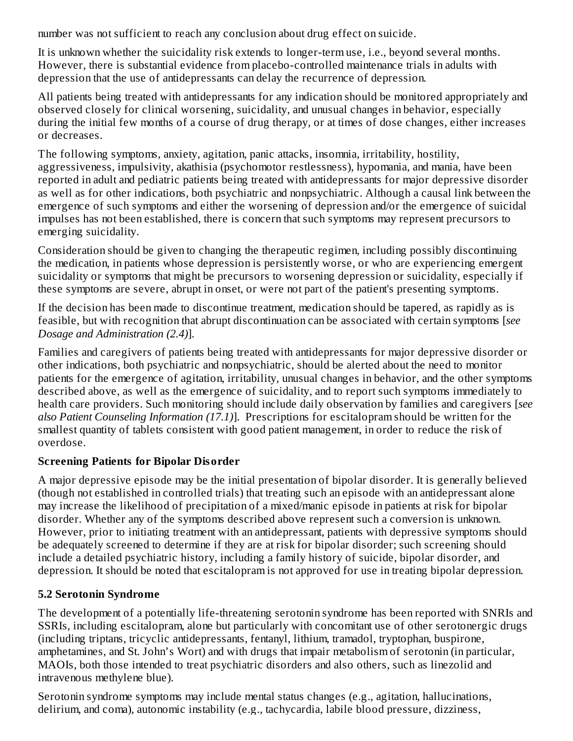number was not sufficient to reach any conclusion about drug effect on suicide.

It is unknown whether the suicidality risk extends to longer-term use, i.e., beyond several months. However, there is substantial evidence from placebo-controlled maintenance trials in adults with depression that the use of antidepressants can delay the recurrence of depression.

All patients being treated with antidepressants for any indication should be monitored appropriately and observed closely for clinical worsening, suicidality, and unusual changes in behavior, especially during the initial few months of a course of drug therapy, or at times of dose changes, either increases or decreases.

The following symptoms, anxiety, agitation, panic attacks, insomnia, irritability, hostility, aggressiveness, impulsivity, akathisia (psychomotor restlessness), hypomania, and mania, have been reported in adult and pediatric patients being treated with antidepressants for major depressive disorder as well as for other indications, both psychiatric and nonpsychiatric. Although a causal link between the emergence of such symptoms and either the worsening of depression and/or the emergence of suicidal impulses has not been established, there is concern that such symptoms may represent precursors to emerging suicidality.

Consideration should be given to changing the therapeutic regimen, including possibly discontinuing the medication, in patients whose depression is persistently worse, or who are experiencing emergent suicidality or symptoms that might be precursors to worsening depression or suicidality, especially if these symptoms are severe, abrupt in onset, or were not part of the patient's presenting symptoms.

If the decision has been made to discontinue treatment, medication should be tapered, as rapidly as is feasible, but with recognition that abrupt discontinuation can be associated with certain symptoms [*see Dosage and Administration (2.4)*].

Families and caregivers of patients being treated with antidepressants for major depressive disorder or other indications, both psychiatric and nonpsychiatric, should be alerted about the need to monitor patients for the emergence of agitation, irritability, unusual changes in behavior, and the other symptoms described above, as well as the emergence of suicidality, and to report such symptoms immediately to health care providers. Such monitoring should include daily observation by families and caregivers [*see also Patient Counseling Information (17.1)*]. Prescriptions for escitalopram should be written for the smallest quantity of tablets consistent with good patient management, in order to reduce the risk of overdose.

# **Screening Patients for Bipolar Disorder**

A major depressive episode may be the initial presentation of bipolar disorder. It is generally believed (though not established in controlled trials) that treating such an episode with an antidepressant alone may increase the likelihood of precipitation of a mixed/manic episode in patients at risk for bipolar disorder. Whether any of the symptoms described above represent such a conversion is unknown. However, prior to initiating treatment with an antidepressant, patients with depressive symptoms should be adequately screened to determine if they are at risk for bipolar disorder; such screening should include a detailed psychiatric history, including a family history of suicide, bipolar disorder, and depression. It should be noted that escitalopram is not approved for use in treating bipolar depression.

# **5.2 Serotonin Syndrome**

The development of a potentially life-threatening serotonin syndrome has been reported with SNRIs and SSRIs, including escitalopram, alone but particularly with concomitant use of other serotonergic drugs (including triptans, tricyclic antidepressants, fentanyl, lithium, tramadol, tryptophan, buspirone, amphetamines, and St. John's Wort) and with drugs that impair metabolism of serotonin (in particular, MAOIs, both those intended to treat psychiatric disorders and also others, such as linezolid and intravenous methylene blue).

Serotonin syndrome symptoms may include mental status changes (e.g., agitation, hallucinations, delirium, and coma), autonomic instability (e.g., tachycardia, labile blood pressure, dizziness,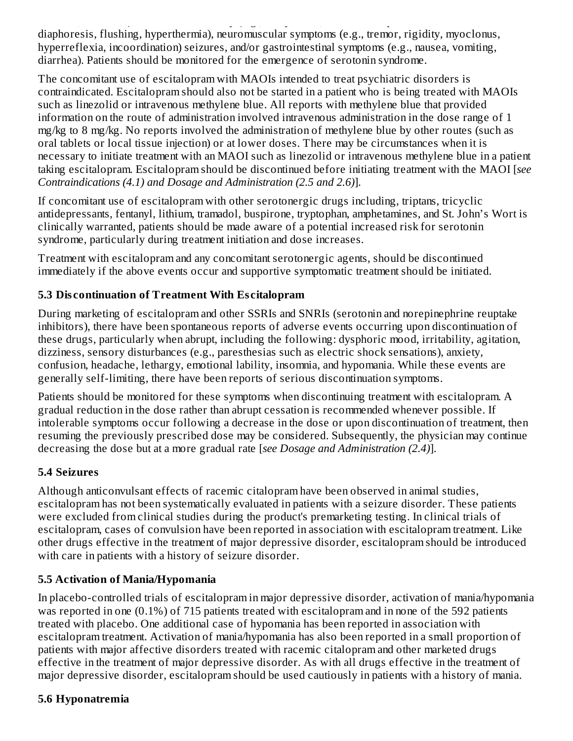delirium, and coma), autonomic instability (e.g., tachycardia, labile blood pressure, dizziness, diaphoresis, flushing, hyperthermia), neuromuscular symptoms (e.g., tremor, rigidity, myoclonus, hyperreflexia, incoordination) seizures, and/or gastrointestinal symptoms (e.g., nausea, vomiting, diarrhea). Patients should be monitored for the emergence of serotonin syndrome.

The concomitant use of escitalopram with MAOIs intended to treat psychiatric disorders is contraindicated. Escitalopram should also not be started in a patient who is being treated with MAOIs such as linezolid or intravenous methylene blue. All reports with methylene blue that provided information on the route of administration involved intravenous administration in the dose range of 1 mg/kg to 8 mg/kg. No reports involved the administration of methylene blue by other routes (such as oral tablets or local tissue injection) or at lower doses. There may be circumstances when it is necessary to initiate treatment with an MAOI such as linezolid or intravenous methylene blue in a patient taking escitalopram. Escitalopram should be discontinued before initiating treatment with the MAOI [*see Contraindications (4.1) and Dosage and Administration (2.5 and 2.6)*].

If concomitant use of escitalopram with other serotonergic drugs including, triptans, tricyclic antidepressants, fentanyl, lithium, tramadol, buspirone, tryptophan, amphetamines, and St. John's Wort is clinically warranted, patients should be made aware of a potential increased risk for serotonin syndrome, particularly during treatment initiation and dose increases.

Treatment with escitalopram and any concomitant serotonergic agents, should be discontinued immediately if the above events occur and supportive symptomatic treatment should be initiated.

# **5.3 Dis continuation of Treatment With Es citalopram**

During marketing of escitalopram and other SSRIs and SNRIs (serotonin and norepinephrine reuptake inhibitors), there have been spontaneous reports of adverse events occurring upon discontinuation of these drugs, particularly when abrupt, including the following: dysphoric mood, irritability, agitation, dizziness, sensory disturbances (e.g., paresthesias such as electric shock sensations), anxiety, confusion, headache, lethargy, emotional lability, insomnia, and hypomania. While these events are generally self-limiting, there have been reports of serious discontinuation symptoms.

Patients should be monitored for these symptoms when discontinuing treatment with escitalopram. A gradual reduction in the dose rather than abrupt cessation is recommended whenever possible. If intolerable symptoms occur following a decrease in the dose or upon discontinuation of treatment, then resuming the previously prescribed dose may be considered. Subsequently, the physician may continue decreasing the dose but at a more gradual rate [*see Dosage and Administration (2.4)*].

# **5.4 Seizures**

Although anticonvulsant effects of racemic citalopram have been observed in animal studies, escitalopram has not been systematically evaluated in patients with a seizure disorder. These patients were excluded from clinical studies during the product's premarketing testing. In clinical trials of escitalopram, cases of convulsion have been reported in association with escitalopram treatment. Like other drugs effective in the treatment of major depressive disorder, escitalopram should be introduced with care in patients with a history of seizure disorder.

# **5.5 Activation of Mania/Hypomania**

In placebo-controlled trials of escitalopram in major depressive disorder, activation of mania/hypomania was reported in one (0.1%) of 715 patients treated with escitalopram and in none of the 592 patients treated with placebo. One additional case of hypomania has been reported in association with escitalopram treatment. Activation of mania/hypomania has also been reported in a small proportion of patients with major affective disorders treated with racemic citalopram and other marketed drugs effective in the treatment of major depressive disorder. As with all drugs effective in the treatment of major depressive disorder, escitalopram should be used cautiously in patients with a history of mania.

# **5.6 Hyponatremia**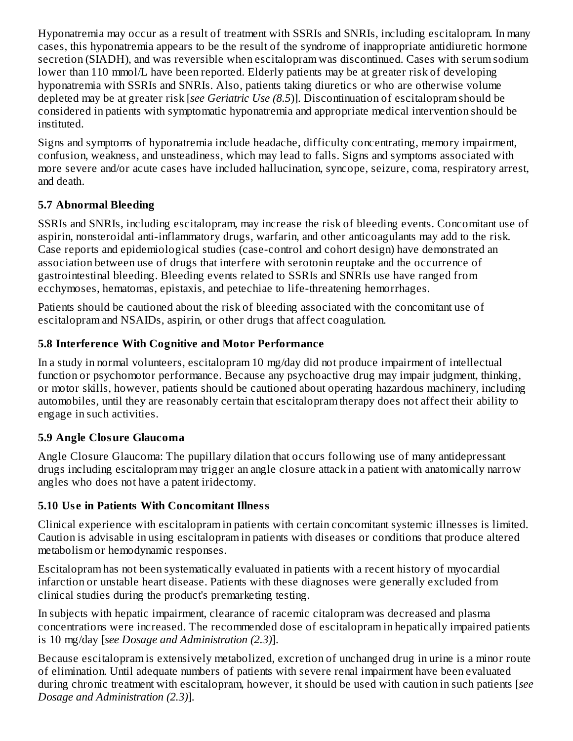Hyponatremia may occur as a result of treatment with SSRIs and SNRIs, including escitalopram. In many cases, this hyponatremia appears to be the result of the syndrome of inappropriate antidiuretic hormone secretion (SIADH), and was reversible when escitalopram was discontinued. Cases with serum sodium lower than 110 mmol/L have been reported. Elderly patients may be at greater risk of developing hyponatremia with SSRIs and SNRIs. Also, patients taking diuretics or who are otherwise volume depleted may be at greater risk [*see Geriatric Use (8.5*)]. Discontinuation of escitalopram should be considered in patients with symptomatic hyponatremia and appropriate medical intervention should be instituted.

Signs and symptoms of hyponatremia include headache, difficulty concentrating, memory impairment, confusion, weakness, and unsteadiness, which may lead to falls. Signs and symptoms associated with more severe and/or acute cases have included hallucination, syncope, seizure, coma, respiratory arrest, and death.

# **5.7 Abnormal Bleeding**

SSRIs and SNRIs, including escitalopram, may increase the risk of bleeding events. Concomitant use of aspirin, nonsteroidal anti-inflammatory drugs, warfarin, and other anticoagulants may add to the risk. Case reports and epidemiological studies (case-control and cohort design) have demonstrated an association between use of drugs that interfere with serotonin reuptake and the occurrence of gastrointestinal bleeding. Bleeding events related to SSRIs and SNRIs use have ranged from ecchymoses, hematomas, epistaxis, and petechiae to life-threatening hemorrhages.

Patients should be cautioned about the risk of bleeding associated with the concomitant use of escitalopram and NSAIDs, aspirin, or other drugs that affect coagulation.

# **5.8 Interference With Cognitive and Motor Performance**

In a study in normal volunteers, escitalopram 10 mg/day did not produce impairment of intellectual function or psychomotor performance. Because any psychoactive drug may impair judgment, thinking, or motor skills, however, patients should be cautioned about operating hazardous machinery, including automobiles, until they are reasonably certain that escitalopram therapy does not affect their ability to engage in such activities.

# **5.9 Angle Closure Glaucoma**

Angle Closure Glaucoma: The pupillary dilation that occurs following use of many antidepressant drugs including escitalopram may trigger an angle closure attack in a patient with anatomically narrow angles who does not have a patent iridectomy.

# **5.10 Us e in Patients With Concomitant Illness**

Clinical experience with escitalopram in patients with certain concomitant systemic illnesses is limited. Caution is advisable in using escitalopram in patients with diseases or conditions that produce altered metabolism or hemodynamic responses.

Escitalopram has not been systematically evaluated in patients with a recent history of myocardial infarction or unstable heart disease. Patients with these diagnoses were generally excluded from clinical studies during the product's premarketing testing.

In subjects with hepatic impairment, clearance of racemic citalopram was decreased and plasma concentrations were increased. The recommended dose of escitalopram in hepatically impaired patients is 10 mg/day [*see Dosage and Administration (2.3)*].

Because escitalopram is extensively metabolized, excretion of unchanged drug in urine is a minor route of elimination. Until adequate numbers of patients with severe renal impairment have been evaluated during chronic treatment with escitalopram, however, it should be used with caution in such patients [*see Dosage and Administration (2.3)*].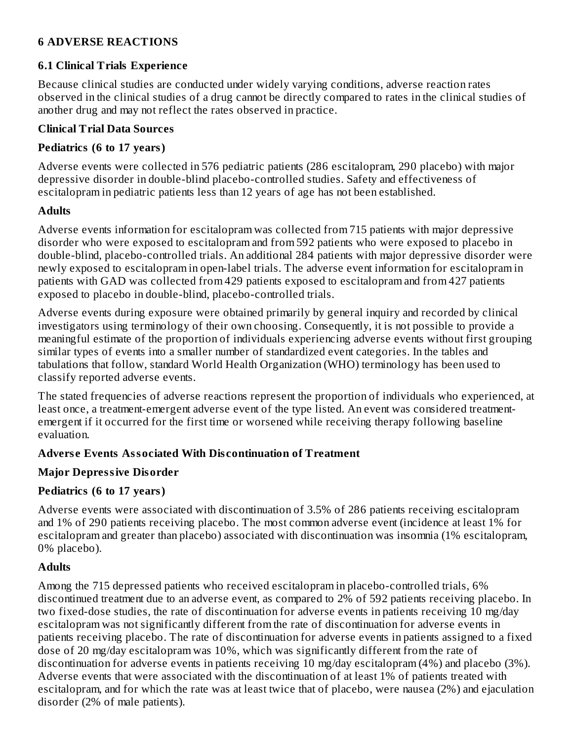## **6 ADVERSE REACTIONS**

### **6.1 Clinical Trials Experience**

Because clinical studies are conducted under widely varying conditions, adverse reaction rates observed in the clinical studies of a drug cannot be directly compared to rates in the clinical studies of another drug and may not reflect the rates observed in practice.

### **Clinical Trial Data Sources**

## **Pediatrics (6 to 17 years)**

Adverse events were collected in 576 pediatric patients (286 escitalopram, 290 placebo) with major depressive disorder in double-blind placebo-controlled studies. Safety and effectiveness of escitalopram in pediatric patients less than 12 years of age has not been established.

### **Adults**

Adverse events information for escitalopram was collected from 715 patients with major depressive disorder who were exposed to escitalopram and from 592 patients who were exposed to placebo in double-blind, placebo-controlled trials. An additional 284 patients with major depressive disorder were newly exposed to escitalopram in open-label trials. The adverse event information for escitalopram in patients with GAD was collected from 429 patients exposed to escitalopram and from 427 patients exposed to placebo in double-blind, placebo-controlled trials.

Adverse events during exposure were obtained primarily by general inquiry and recorded by clinical investigators using terminology of their own choosing. Consequently, it is not possible to provide a meaningful estimate of the proportion of individuals experiencing adverse events without first grouping similar types of events into a smaller number of standardized event categories. In the tables and tabulations that follow, standard World Health Organization (WHO) terminology has been used to classify reported adverse events.

The stated frequencies of adverse reactions represent the proportion of individuals who experienced, at least once, a treatment-emergent adverse event of the type listed. An event was considered treatmentemergent if it occurred for the first time or worsened while receiving therapy following baseline evaluation.

# **Advers e Events Associated With Dis continuation of Treatment**

# **Major Depressive Disorder**

# **Pediatrics (6 to 17 years)**

Adverse events were associated with discontinuation of 3.5% of 286 patients receiving escitalopram and 1% of 290 patients receiving placebo. The most common adverse event (incidence at least 1% for escitalopram and greater than placebo) associated with discontinuation was insomnia (1% escitalopram, 0% placebo).

# **Adults**

Among the 715 depressed patients who received escitalopram in placebo-controlled trials, 6% discontinued treatment due to an adverse event, as compared to 2% of 592 patients receiving placebo. In two fixed-dose studies, the rate of discontinuation for adverse events in patients receiving 10 mg/day escitalopram was not significantly different from the rate of discontinuation for adverse events in patients receiving placebo. The rate of discontinuation for adverse events in patients assigned to a fixed dose of 20 mg/day escitalopram was 10%, which was significantly different from the rate of discontinuation for adverse events in patients receiving 10 mg/day escitalopram (4%) and placebo (3%). Adverse events that were associated with the discontinuation of at least 1% of patients treated with escitalopram, and for which the rate was at least twice that of placebo, were nausea (2%) and ejaculation disorder (2% of male patients).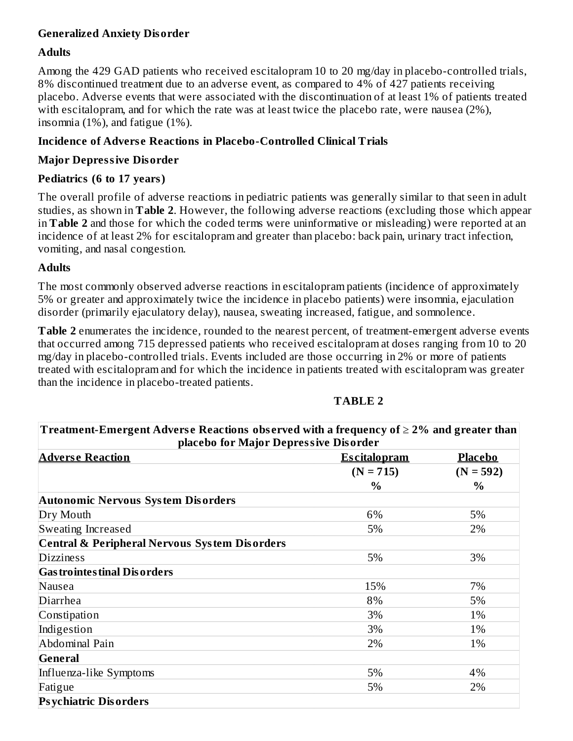### **Generalized Anxiety Disorder**

#### **Adults**

Among the 429 GAD patients who received escitalopram 10 to 20 mg/day in placebo-controlled trials, 8% discontinued treatment due to an adverse event, as compared to 4% of 427 patients receiving placebo. Adverse events that were associated with the discontinuation of at least 1% of patients treated with escitalopram, and for which the rate was at least twice the placebo rate, were nausea (2%), insomnia (1%), and fatigue (1%).

### **Incidence of Advers e Reactions in Placebo-Controlled Clinical Trials**

#### **Major Depressive Disorder**

### **Pediatrics (6 to 17 years)**

The overall profile of adverse reactions in pediatric patients was generally similar to that seen in adult studies, as shown in **Table 2**. However, the following adverse reactions (excluding those which appear in **Table 2** and those for which the coded terms were uninformative or misleading) were reported at an incidence of at least 2% for escitalopram and greater than placebo: back pain, urinary tract infection, vomiting, and nasal congestion.

### **Adults**

The most commonly observed adverse reactions in escitalopram patients (incidence of approximately 5% or greater and approximately twice the incidence in placebo patients) were insomnia, ejaculation disorder (primarily ejaculatory delay), nausea, sweating increased, fatigue, and somnolence.

**Table 2** enumerates the incidence, rounded to the nearest percent, of treatment-emergent adverse events that occurred among 715 depressed patients who received escitalopram at doses ranging from 10 to 20 mg/day in placebo-controlled trials. Events included are those occurring in 2% or more of patients treated with escitalopram and for which the incidence in patients treated with escitalopram was greater than the incidence in placebo-treated patients.

| Treatment-Emergent Adverse Reactions observed with a frequency of $\geq$ 2% and greater than |                     |                |  |  |  |
|----------------------------------------------------------------------------------------------|---------------------|----------------|--|--|--|
| placebo for Major Depressive Disorder                                                        |                     |                |  |  |  |
| <b>Adverse Reaction</b>                                                                      | <b>Escitalopram</b> | <b>Placebo</b> |  |  |  |
|                                                                                              | $(N = 715)$         | $(N = 592)$    |  |  |  |
|                                                                                              | $\frac{0}{0}$       | $\%$           |  |  |  |
| <b>Autonomic Nervous System Disorders</b>                                                    |                     |                |  |  |  |
| Dry Mouth                                                                                    | 6%                  | 5%             |  |  |  |
| Sweating Increased                                                                           | 5%                  | 2%             |  |  |  |
| <b>Central &amp; Peripheral Nervous System Disorders</b>                                     |                     |                |  |  |  |
| <b>Dizziness</b>                                                                             | 5%                  | 3%             |  |  |  |
| <b>Gas trointes tinal Dis orders</b>                                                         |                     |                |  |  |  |
| Nausea                                                                                       | 15%                 | 7%             |  |  |  |
| Diarrhea                                                                                     | 8%                  | 5%             |  |  |  |
| Constipation                                                                                 | 3%                  | 1%             |  |  |  |
| Indigestion                                                                                  | 3%                  | 1%             |  |  |  |
| Abdominal Pain                                                                               | 2%                  | 1%             |  |  |  |
| General                                                                                      |                     |                |  |  |  |
| Influenza-like Symptoms                                                                      | 5%                  | 4%             |  |  |  |
| Fatigue                                                                                      | 5%                  | 2%             |  |  |  |
| <b>Psychiatric Disorders</b>                                                                 |                     |                |  |  |  |

#### **TABLE 2**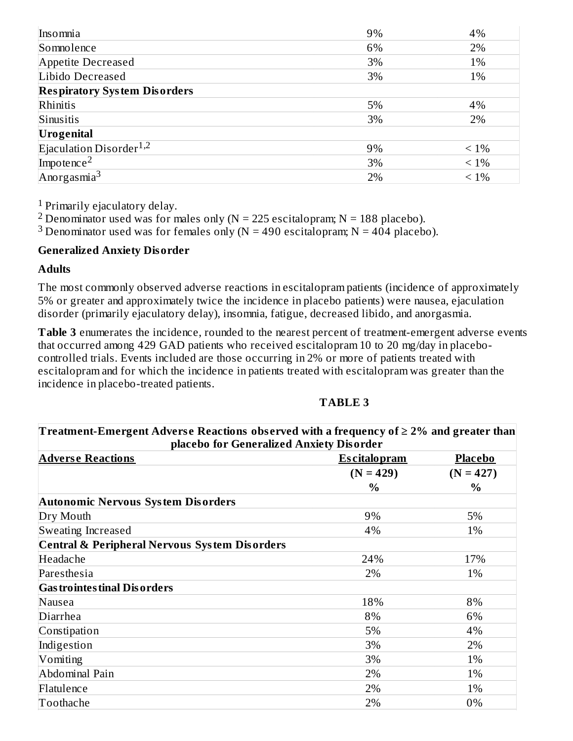| Insomnia                            | 9% | 4%      |
|-------------------------------------|----|---------|
| Somnolence                          | 6% | 2%      |
| Appetite Decreased                  | 3% | 1%      |
| Libido Decreased                    | 3% | 1%      |
| <b>Respiratory System Disorders</b> |    |         |
| Rhinitis                            | 5% | 4%      |
| Sinusitis                           | 3% | 2%      |
| Urogenital                          |    |         |
| Ejaculation Disorder <sup>1,2</sup> | 9% | $< 1\%$ |
| Impotence <sup>2</sup>              | 3% | $< 1\%$ |
| Anorgasmia <sup>3</sup>             | 2% | $< 1\%$ |

 $1$  Primarily ejaculatory delay.

<sup>2</sup> Denominator used was for males only (N = 225 escitalopram; N = 188 placebo).

<sup>3</sup> Denominator used was for females only (N = 490 escitalopram; N = 404 placebo).

#### **Generalized Anxiety Disorder**

#### **Adults**

The most commonly observed adverse reactions in escitalopram patients (incidence of approximately 5% or greater and approximately twice the incidence in placebo patients) were nausea, ejaculation disorder (primarily ejaculatory delay), insomnia, fatigue, decreased libido, and anorgasmia.

**Table 3** enumerates the incidence, rounded to the nearest percent of treatment-emergent adverse events that occurred among 429 GAD patients who received escitalopram 10 to 20 mg/day in placebocontrolled trials. Events included are those occurring in 2% or more of patients treated with escitalopram and for which the incidence in patients treated with escitalopram was greater than the incidence in placebo-treated patients.

### **TABLE 3**

| Treatment-Emergent Adverse Reactions observed with a frequency of $\geq$ 2% and greater than<br>placebo for Generalized Anxiety Disorder |                     |             |  |  |
|------------------------------------------------------------------------------------------------------------------------------------------|---------------------|-------------|--|--|
| <b>Adverse Reactions</b>                                                                                                                 | <b>Escitalopram</b> | Placebo     |  |  |
|                                                                                                                                          | $(N = 429)$         | $(N = 427)$ |  |  |
|                                                                                                                                          | $\%$                | $\%$        |  |  |
| Autonomic Nervous System Disorders                                                                                                       |                     |             |  |  |
| Dry Mouth                                                                                                                                | 9%                  | 5%          |  |  |
| Sweating Increased                                                                                                                       | 4%                  | 1%          |  |  |
| <b>Central &amp; Peripheral Nervous System Disorders</b>                                                                                 |                     |             |  |  |
| Headache                                                                                                                                 | 24%                 | 17%         |  |  |
| Paresthesia                                                                                                                              | 2%                  | 1%          |  |  |
| <b>Gas trointes tinal Dis orders</b>                                                                                                     |                     |             |  |  |
| Nausea                                                                                                                                   | 18%                 | 8%          |  |  |
| Diarrhea                                                                                                                                 | 8%                  | 6%          |  |  |
| Constipation                                                                                                                             | 5%                  | 4%          |  |  |
| Indigestion                                                                                                                              | 3%                  | 2%          |  |  |
| Vomiting                                                                                                                                 | 3%                  | 1%          |  |  |
| Abdominal Pain                                                                                                                           | 2%                  | 1%          |  |  |
| Flatulence                                                                                                                               | 2%                  | 1%          |  |  |
| Toothache                                                                                                                                | 2%                  | 0%          |  |  |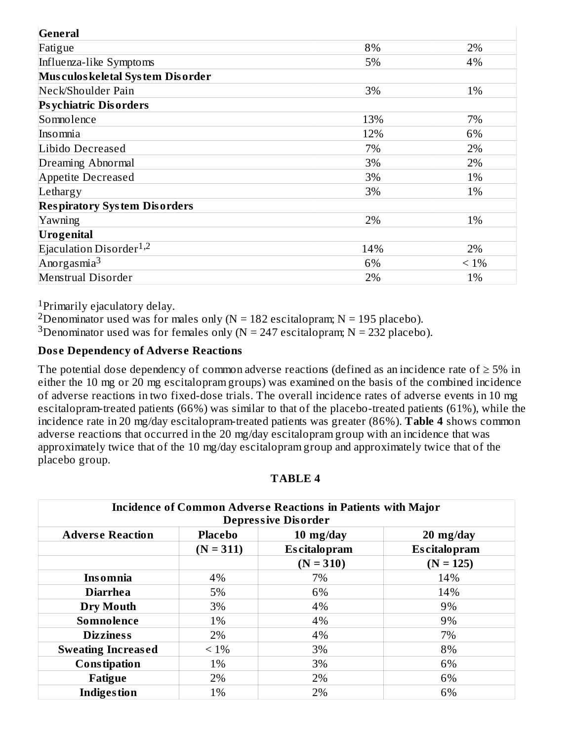| General                             |     |         |
|-------------------------------------|-----|---------|
| Fatigue                             | 8%  | 2%      |
| Influenza-like Symptoms             | 5%  | 4%      |
| Musculos keletal System Disorder    |     |         |
| Neck/Shoulder Pain                  | 3%  | 1%      |
| <b>Psychiatric Disorders</b>        |     |         |
| Somnolence                          | 13% | 7%      |
| Insomnia                            | 12% | 6%      |
| Libido Decreased                    | 7%  | 2%      |
| Dreaming Abnormal                   | 3%  | 2%      |
| Appetite Decreased                  | 3%  | 1%      |
| Lethargy                            | 3%  | 1%      |
| <b>Respiratory System Disorders</b> |     |         |
| Yawning                             | 2%  | 1%      |
| <b>Urogenital</b>                   |     |         |
| Ejaculation Disorder <sup>1,2</sup> | 14% | 2%      |
| Anorgasmia <sup>3</sup>             | 6%  | $< 1\%$ |
| Menstrual Disorder                  | 2%  | 1%      |

<sup>1</sup>Primarily ejaculatory delay.

<sup>2</sup>Denominator used was for males only ( $N = 182$  escitalopram;  $N = 195$  placebo).

<sup>3</sup>Denominator used was for females only (N = 247 escitalopram; N = 232 placebo).

#### **Dos e Dependency of Advers e Reactions**

The potential dose dependency of common adverse reactions (defined as an incidence rate of  $\geq$  5% in either the 10 mg or 20 mg escitalopram groups) was examined on the basis of the combined incidence of adverse reactions in two fixed-dose trials. The overall incidence rates of adverse events in 10 mg escitalopram-treated patients (66%) was similar to that of the placebo-treated patients (61%), while the incidence rate in 20 mg/day escitalopram-treated patients was greater (86%). **Table 4** shows common adverse reactions that occurred in the 20 mg/day escitalopram group with an incidence that was approximately twice that of the 10 mg/day escitalopram group and approximately twice that of the placebo group.

| <b>Incidence of Common Adverse Reactions in Patients with Major</b><br><b>Depressive Disorder</b> |                |                     |                     |  |  |
|---------------------------------------------------------------------------------------------------|----------------|---------------------|---------------------|--|--|
| <b>Adverse Reaction</b>                                                                           | <b>Placebo</b> | $10 \; mg/day$      | $20 \; mg/day$      |  |  |
|                                                                                                   | $(N = 311)$    | <b>Escitalopram</b> | <b>Escitalopram</b> |  |  |
|                                                                                                   |                | $(N = 310)$         | $(N = 125)$         |  |  |
| <b>Insomnia</b>                                                                                   | 4%             | 7%                  | 14%                 |  |  |
| <b>Diarrhea</b>                                                                                   | 5%             | 6%                  | 14%                 |  |  |
| Dry Mouth                                                                                         | 3%             | 4%                  | 9%                  |  |  |
| Somnolence                                                                                        | 1%             | 4%                  | 9%                  |  |  |
| <b>Dizziness</b>                                                                                  | 2%             | 4%                  | 7%                  |  |  |
| <b>Sweating Increased</b>                                                                         | $< 1\%$        | 3%                  | 8%                  |  |  |
| <b>Constipation</b>                                                                               | 1%             | 3%                  | 6%                  |  |  |
| Fatigue                                                                                           | 2%             | 2%                  | 6%                  |  |  |
| <b>Indigestion</b>                                                                                | 1%             | 2%                  | 6%                  |  |  |

**TABLE 4**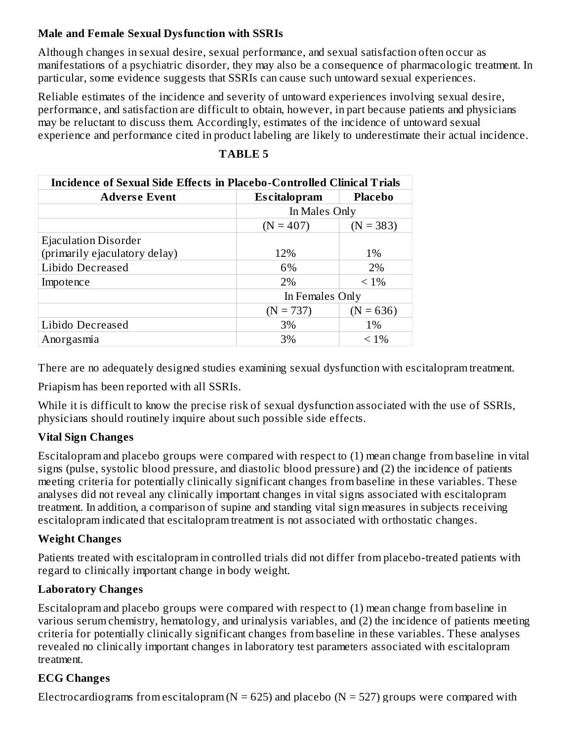### **Male and Female Sexual Dysfunction with SSRIs**

Although changes in sexual desire, sexual performance, and sexual satisfaction often occur as manifestations of a psychiatric disorder, they may also be a consequence of pharmacologic treatment. In particular, some evidence suggests that SSRIs can cause such untoward sexual experiences.

Reliable estimates of the incidence and severity of untoward experiences involving sexual desire, performance, and satisfaction are difficult to obtain, however, in part because patients and physicians may be reluctant to discuss them. Accordingly, estimates of the incidence of untoward sexual experience and performance cited in product labeling are likely to underestimate their actual incidence.

| <b>Incidence of Sexual Side Effects in Placebo-Controlled Clinical Trials</b> |                     |                |  |  |
|-------------------------------------------------------------------------------|---------------------|----------------|--|--|
| <b>Adverse Event</b>                                                          | <b>Escitalopram</b> | <b>Placebo</b> |  |  |
|                                                                               | In Males Only       |                |  |  |
|                                                                               | $(N = 407)$         | $(N = 383)$    |  |  |
| <b>Ejaculation Disorder</b>                                                   |                     |                |  |  |
| (primarily ejaculatory delay)                                                 | 12%                 | $1\%$          |  |  |
| Libido Decreased                                                              | 6%                  | 2%             |  |  |
| Impotence                                                                     | 2%                  | $< 1\%$        |  |  |
|                                                                               | In Females Only     |                |  |  |
|                                                                               | $(N = 737)$         | $(N = 636)$    |  |  |
| Libido Decreased                                                              | 3%                  | 1%             |  |  |
| Anorgasmia                                                                    | 3%                  | $< 1\%$        |  |  |

### **TABLE 5**

There are no adequately designed studies examining sexual dysfunction with escitalopram treatment.

Priapism has been reported with all SSRIs.

While it is difficult to know the precise risk of sexual dysfunction associated with the use of SSRIs, physicians should routinely inquire about such possible side effects.

### **Vital Sign Changes**

Escitalopram and placebo groups were compared with respect to (1) mean change from baseline in vital signs (pulse, systolic blood pressure, and diastolic blood pressure) and (2) the incidence of patients meeting criteria for potentially clinically significant changes from baseline in these variables. These analyses did not reveal any clinically important changes in vital signs associated with escitalopram treatment. In addition, a comparison of supine and standing vital sign measures in subjects receiving escitalopram indicated that escitalopram treatment is not associated with orthostatic changes.

# **Weight Changes**

Patients treated with escitalopram in controlled trials did not differ from placebo-treated patients with regard to clinically important change in body weight.

### **Laboratory Changes**

Escitalopram and placebo groups were compared with respect to (1) mean change from baseline in various serum chemistry, hematology, and urinalysis variables, and (2) the incidence of patients meeting criteria for potentially clinically significant changes from baseline in these variables. These analyses revealed no clinically important changes in laboratory test parameters associated with escitalopram treatment.

# **ECG Changes**

Electrocardiograms from escitalopram ( $N = 625$ ) and placebo ( $N = 527$ ) groups were compared with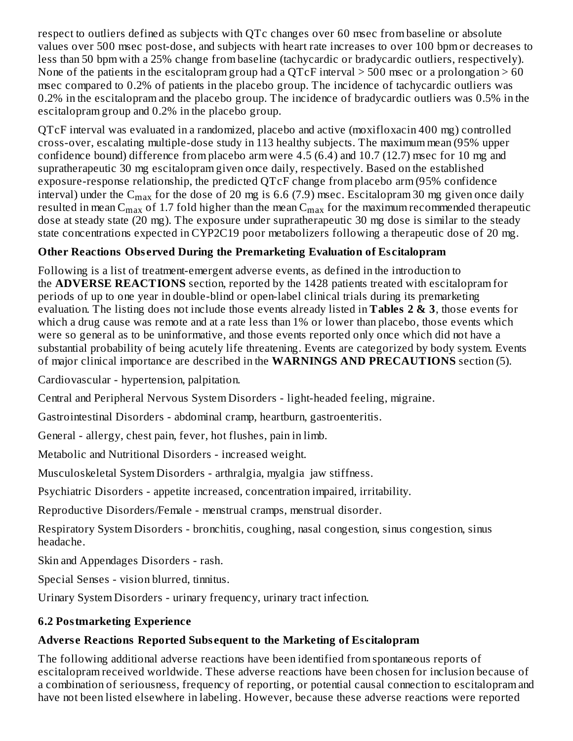respect to outliers defined as subjects with QTc changes over 60 msec from baseline or absolute values over 500 msec post-dose, and subjects with heart rate increases to over 100 bpm or decreases to less than 50 bpm with a 25% change from baseline (tachycardic or bradycardic outliers, respectively). None of the patients in the escitalopram group had a QTcF interval  $>$  500 msec or a prolongation  $>$  60 msec compared to 0.2% of patients in the placebo group. The incidence of tachycardic outliers was 0.2% in the escitalopram and the placebo group. The incidence of bradycardic outliers was 0.5% in the escitalopram group and 0.2% in the placebo group.

QTcF interval was evaluated in a randomized, placebo and active (moxifloxacin 400 mg) controlled cross-over, escalating multiple-dose study in 113 healthy subjects. The maximum mean (95% upper confidence bound) difference from placebo arm were 4.5 (6.4) and 10.7 (12.7) msec for 10 mg and supratherapeutic 30 mg escitalopram given once daily, respectively. Based on the established exposure-response relationship, the predicted QTcF change from placebo arm (95% confidence interval) under the C $_{\rm max}$  for the dose of 20 mg is 6.6 (7.9) msec. Escitalopram 30 mg given once daily resulted in mean C<sub>max</sub> of 1.7 fold higher than the mean C<sub>max</sub> for the maximum recommended therapeutic dose at steady state (20 mg). The exposure under supratherapeutic 30 mg dose is similar to the steady state concentrations expected in CYP2C19 poor metabolizers following a therapeutic dose of 20 mg.

# **Other Reactions Obs erved During the Premarketing Evaluation of Es citalopram**

Following is a list of treatment-emergent adverse events, as defined in the introduction to the **ADVERSE REACTIONS** section, reported by the 1428 patients treated with escitalopram for periods of up to one year in double-blind or open-label clinical trials during its premarketing evaluation. The listing does not include those events already listed in **Tables 2 & 3**, those events for which a drug cause was remote and at a rate less than 1% or lower than placebo, those events which were so general as to be uninformative, and those events reported only once which did not have a substantial probability of being acutely life threatening. Events are categorized by body system. Events of major clinical importance are described in the **WARNINGS AND PRECAUTIONS** section (5).

Cardiovascular - hypertension, palpitation.

Central and Peripheral Nervous System Disorders - light-headed feeling, migraine.

Gastrointestinal Disorders - abdominal cramp, heartburn, gastroenteritis.

General - allergy, chest pain, fever, hot flushes, pain in limb.

Metabolic and Nutritional Disorders - increased weight.

Musculoskeletal System Disorders - arthralgia, myalgia jaw stiffness.

Psychiatric Disorders - appetite increased, concentration impaired, irritability.

Reproductive Disorders/Female - menstrual cramps, menstrual disorder.

Respiratory System Disorders - bronchitis, coughing, nasal congestion, sinus congestion, sinus headache.

Skin and Appendages Disorders - rash.

Special Senses - vision blurred, tinnitus.

Urinary System Disorders - urinary frequency, urinary tract infection.

# **6.2 Postmarketing Experience**

# **Advers e Reactions Reported Subs equent to the Marketing of Es citalopram**

The following additional adverse reactions have been identified from spontaneous reports of escitalopram received worldwide. These adverse reactions have been chosen for inclusion because of a combination of seriousness, frequency of reporting, or potential causal connection to escitalopram and have not been listed elsewhere in labeling. However, because these adverse reactions were reported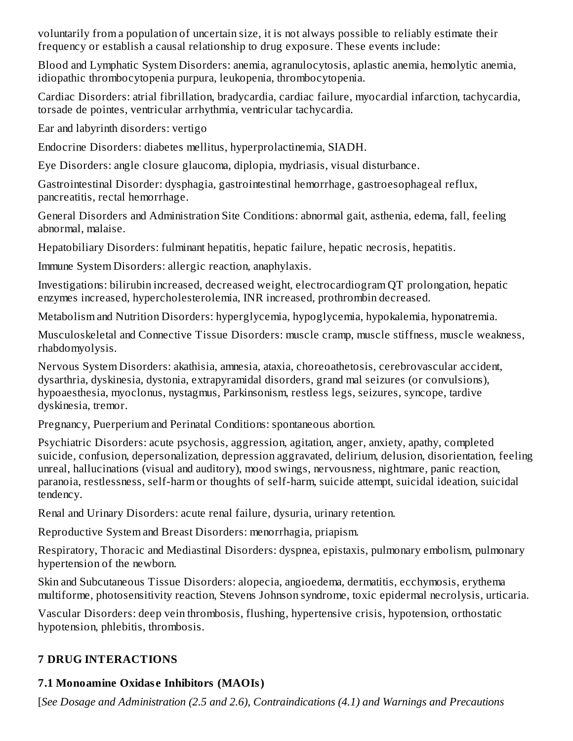voluntarily from a population of uncertain size, it is not always possible to reliably estimate their frequency or establish a causal relationship to drug exposure. These events include:

Blood and Lymphatic System Disorders: anemia, agranulocytosis, aplastic anemia, hemolytic anemia, idiopathic thrombocytopenia purpura, leukopenia, thrombocytopenia.

Cardiac Disorders: atrial fibrillation, bradycardia, cardiac failure, myocardial infarction, tachycardia, torsade de pointes, ventricular arrhythmia, ventricular tachycardia.

Ear and labyrinth disorders: vertigo

Endocrine Disorders: diabetes mellitus, hyperprolactinemia, SIADH.

Eye Disorders: angle closure glaucoma, diplopia, mydriasis, visual disturbance.

Gastrointestinal Disorder: dysphagia, gastrointestinal hemorrhage, gastroesophageal reflux, pancreatitis, rectal hemorrhage.

General Disorders and Administration Site Conditions: abnormal gait, asthenia, edema, fall, feeling abnormal, malaise.

Hepatobiliary Disorders: fulminant hepatitis, hepatic failure, hepatic necrosis, hepatitis.

Immune System Disorders: allergic reaction, anaphylaxis.

Investigations: bilirubin increased, decreased weight, electrocardiogram QT prolongation, hepatic enzymes increased, hypercholesterolemia, INR increased, prothrombin decreased.

Metabolism and Nutrition Disorders: hyperglycemia, hypoglycemia, hypokalemia, hyponatremia.

Musculoskeletal and Connective Tissue Disorders: muscle cramp, muscle stiffness, muscle weakness, rhabdomyolysis.

Nervous System Disorders: akathisia, amnesia, ataxia, choreoathetosis, cerebrovascular accident, dysarthria, dyskinesia, dystonia, extrapyramidal disorders, grand mal seizures (or convulsions), hypoaesthesia, myoclonus, nystagmus, Parkinsonism, restless legs, seizures, syncope, tardive dyskinesia, tremor.

Pregnancy, Puerperium and Perinatal Conditions: spontaneous abortion.

Psychiatric Disorders: acute psychosis, aggression, agitation, anger, anxiety, apathy, completed suicide, confusion, depersonalization, depression aggravated, delirium, delusion, disorientation, feeling unreal, hallucinations (visual and auditory), mood swings, nervousness, nightmare, panic reaction, paranoia, restlessness, self-harm or thoughts of self-harm, suicide attempt, suicidal ideation, suicidal tendency.

Renal and Urinary Disorders: acute renal failure, dysuria, urinary retention.

Reproductive System and Breast Disorders: menorrhagia, priapism.

Respiratory, Thoracic and Mediastinal Disorders: dyspnea, epistaxis, pulmonary embolism, pulmonary hypertension of the newborn.

Skin and Subcutaneous Tissue Disorders: alopecia, angioedema, dermatitis, ecchymosis, erythema multiforme, photosensitivity reaction, Stevens Johnson syndrome, toxic epidermal necrolysis, urticaria.

Vascular Disorders: deep vein thrombosis, flushing, hypertensive crisis, hypotension, orthostatic hypotension, phlebitis, thrombosis.

# **7 DRUG INTERACTIONS**

# **7.1 Monoamine Oxidas e Inhibitors (MAOIs)**

[*See Dosage and Administration (2.5 and 2.6), Contraindications (4.1) and Warnings and Precautions*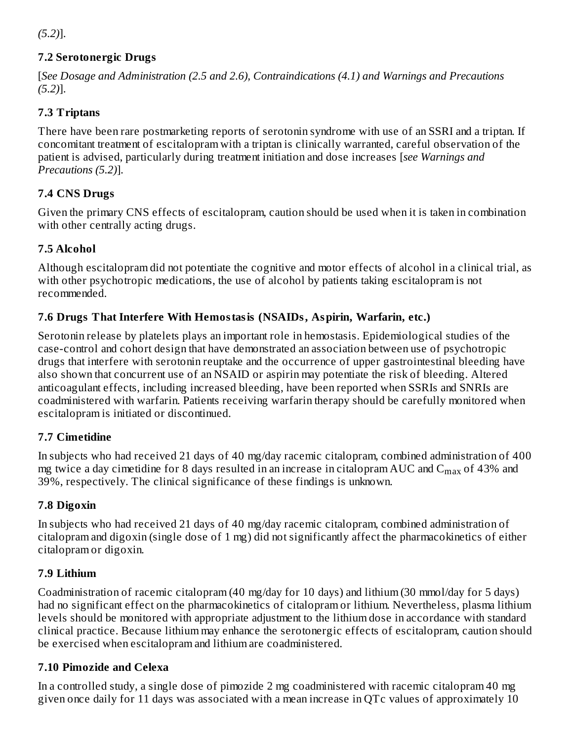*(5.2)*].

# **7.2 Serotonergic Drugs**

[*See Dosage and Administration (2.5 and 2.6), Contraindications (4.1) and Warnings and Precautions (5.2)*].

# **7.3 Triptans**

There have been rare postmarketing reports of serotonin syndrome with use of an SSRI and a triptan. If concomitant treatment of escitalopram with a triptan is clinically warranted, careful observation of the patient is advised, particularly during treatment initiation and dose increases [*see Warnings and Precautions (5.2)*].

# **7.4 CNS Drugs**

Given the primary CNS effects of escitalopram, caution should be used when it is taken in combination with other centrally acting drugs.

# **7.5 Alcohol**

Although escitalopram did not potentiate the cognitive and motor effects of alcohol in a clinical trial, as with other psychotropic medications, the use of alcohol by patients taking escitalopram is not recommended.

# **7.6 Drugs That Interfere With Hemostasis (NSAIDs, Aspirin, Warfarin, etc.)**

Serotonin release by platelets plays an important role in hemostasis. Epidemiological studies of the case-control and cohort design that have demonstrated an association between use of psychotropic drugs that interfere with serotonin reuptake and the occurrence of upper gastrointestinal bleeding have also shown that concurrent use of an NSAID or aspirin may potentiate the risk of bleeding. Altered anticoagulant effects, including increased bleeding, have been reported when SSRIs and SNRIs are coadministered with warfarin. Patients receiving warfarin therapy should be carefully monitored when escitalopram is initiated or discontinued.

# **7.7 Cimetidine**

In subjects who had received 21 days of 40 mg/day racemic citalopram, combined administration of 400 mg twice a day cimetidine for 8 days resulted in an increase in citalopram AUC and  $\rm C_{max}$  of 43% and 39%, respectively. The clinical significance of these findings is unknown.

# **7.8 Digoxin**

In subjects who had received 21 days of 40 mg/day racemic citalopram, combined administration of citalopram and digoxin (single dose of 1 mg) did not significantly affect the pharmacokinetics of either citalopram or digoxin.

# **7.9 Lithium**

Coadministration of racemic citalopram (40 mg/day for 10 days) and lithium (30 mmol/day for 5 days) had no significant effect on the pharmacokinetics of citalopram or lithium. Nevertheless, plasma lithium levels should be monitored with appropriate adjustment to the lithium dose in accordance with standard clinical practice. Because lithium may enhance the serotonergic effects of escitalopram, caution should be exercised when escitalopram and lithium are coadministered.

# **7.10 Pimozide and Celexa**

In a controlled study, a single dose of pimozide 2 mg coadministered with racemic citalopram 40 mg given once daily for 11 days was associated with a mean increase in QTc values of approximately 10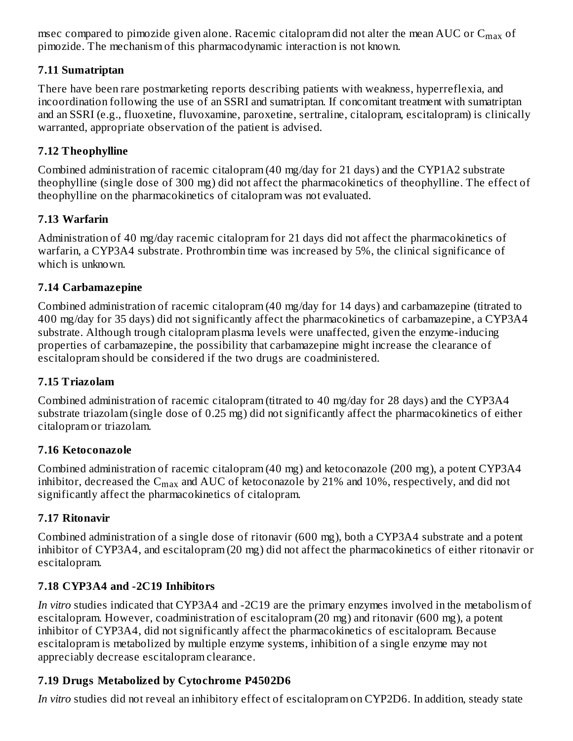msec compared to pimozide given alone. Racemic citalopram did not alter the mean AUC or  $\mathsf{C}_{\max}$  of pimozide. The mechanism of this pharmacodynamic interaction is not known.

# **7.11 Sumatriptan**

There have been rare postmarketing reports describing patients with weakness, hyperreflexia, and incoordination following the use of an SSRI and sumatriptan. If concomitant treatment with sumatriptan and an SSRI (e.g., fluoxetine, fluvoxamine, paroxetine, sertraline, citalopram, escitalopram) is clinically warranted, appropriate observation of the patient is advised.

### **7.12 Theophylline**

Combined administration of racemic citalopram (40 mg/day for 21 days) and the CYP1A2 substrate theophylline (single dose of 300 mg) did not affect the pharmacokinetics of theophylline. The effect of theophylline on the pharmacokinetics of citalopram was not evaluated.

### **7.13 Warfarin**

Administration of 40 mg/day racemic citalopram for 21 days did not affect the pharmacokinetics of warfarin, a CYP3A4 substrate. Prothrombin time was increased by 5%, the clinical significance of which is unknown.

### **7.14 Carbamazepine**

Combined administration of racemic citalopram (40 mg/day for 14 days) and carbamazepine (titrated to 400 mg/day for 35 days) did not significantly affect the pharmacokinetics of carbamazepine, a CYP3A4 substrate. Although trough citalopram plasma levels were unaffected, given the enzyme-inducing properties of carbamazepine, the possibility that carbamazepine might increase the clearance of escitalopram should be considered if the two drugs are coadministered.

### **7.15 Triazolam**

Combined administration of racemic citalopram (titrated to 40 mg/day for 28 days) and the CYP3A4 substrate triazolam (single dose of 0.25 mg) did not significantly affect the pharmacokinetics of either citalopram or triazolam.

### **7.16 Ketoconazole**

Combined administration of racemic citalopram (40 mg) and ketoconazole (200 mg), a potent CYP3A4 inhibitor, decreased the  $\mathsf{C}_{\max}$  and  $\mathrm{AUC}$  of ketoconazole by 21% and 10%, respectively, and did not significantly affect the pharmacokinetics of citalopram.

### **7.17 Ritonavir**

Combined administration of a single dose of ritonavir (600 mg), both a CYP3A4 substrate and a potent inhibitor of CYP3A4, and escitalopram (20 mg) did not affect the pharmacokinetics of either ritonavir or escitalopram.

# **7.18 CYP3A4 and -2C19 Inhibitors**

*In vitro* studies indicated that CYP3A4 and -2C19 are the primary enzymes involved in the metabolism of escitalopram. However, coadministration of escitalopram (20 mg) and ritonavir (600 mg), a potent inhibitor of CYP3A4, did not significantly affect the pharmacokinetics of escitalopram. Because escitalopram is metabolized by multiple enzyme systems, inhibition of a single enzyme may not appreciably decrease escitalopram clearance.

# **7.19 Drugs Metabolized by Cytochrome P4502D6**

*In vitro* studies did not reveal an inhibitory effect of escitalopram on CYP2D6. In addition, steady state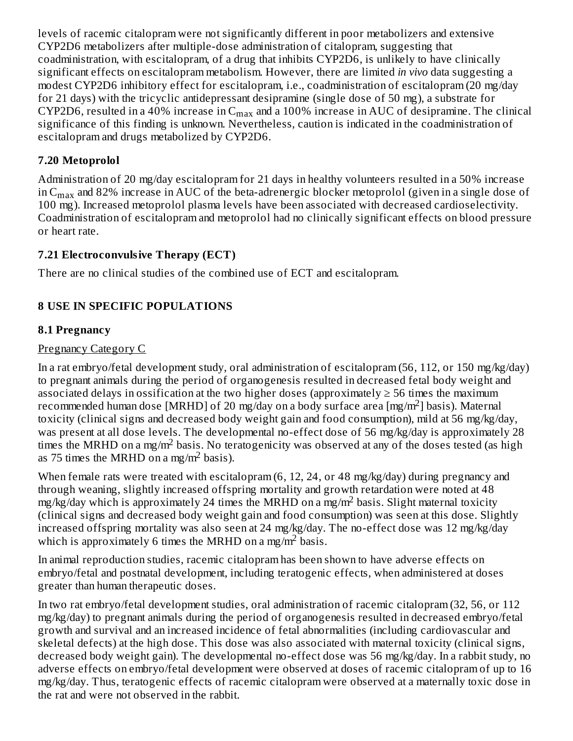levels of racemic citalopram were not significantly different in poor metabolizers and extensive CYP2D6 metabolizers after multiple-dose administration of citalopram, suggesting that coadministration, with escitalopram, of a drug that inhibits CYP2D6, is unlikely to have clinically significant effects on escitalopram metabolism. However, there are limited *in vivo* data suggesting a modest CYP2D6 inhibitory effect for escitalopram, i.e., coadministration of escitalopram (20 mg/day for 21 days) with the tricyclic antidepressant desipramine (single dose of 50 mg), a substrate for CYP2D6, resulted in a 40% increase in  $\rm{C_{max}}$  and a 100% increase in AUC of desipramine. The clinical significance of this finding is unknown. Nevertheless, caution is indicated in the coadministration of escitalopram and drugs metabolized by CYP2D6.

## **7.20 Metoprolol**

Administration of 20 mg/day escitalopram for 21 days in healthy volunteers resulted in a 50% increase in C $_{\rm max}$  and 82% increase in AUC of the beta-adrenergic blocker metoprolol (given in a single dose of 100 mg). Increased metoprolol plasma levels have been associated with decreased cardioselectivity. Coadministration of escitalopram and metoprolol had no clinically significant effects on blood pressure or heart rate.

### **7.21 Electroconvulsive Therapy (ECT)**

There are no clinical studies of the combined use of ECT and escitalopram.

# **8 USE IN SPECIFIC POPULATIONS**

### **8.1 Pregnancy**

### Pregnancy Category C

In a rat embryo/fetal development study, oral administration of escitalopram (56, 112, or 150 mg/kg/day) to pregnant animals during the period of organogenesis resulted in decreased fetal body weight and associated delays in ossification at the two higher doses (approximately  $\geq$  56 times the maximum recommended human dose [MRHD] of 20 mg/day on a body surface area [mg/m<sup>2</sup>] basis). Maternal toxicity (clinical signs and decreased body weight gain and food consumption), mild at 56 mg/kg/day, was present at all dose levels. The developmental no-effect dose of 56 mg/kg/day is approximately 28 times the MRHD on a mg/m<sup>2</sup> basis. No teratogenicity was observed at any of the doses tested (as high as 75 times the MRHD on a mg/m<sup>2</sup> basis).

When female rats were treated with escitalopram (6, 12, 24, or 48 mg/kg/day) during pregnancy and through weaning, slightly increased offspring mortality and growth retardation were noted at 48  $mg/kg/day$  which is approximately 24 times the MRHD on a mg/m<sup>2</sup> basis. Slight maternal toxicity (clinical signs and decreased body weight gain and food consumption) was seen at this dose. Slightly increased offspring mortality was also seen at 24 mg/kg/day. The no-effect dose was 12 mg/kg/day which is approximately 6 times the MRHD on a mg/m<sup>2</sup> basis.

In animal reproduction studies, racemic citalopram has been shown to have adverse effects on embryo/fetal and postnatal development, including teratogenic effects, when administered at doses greater than human therapeutic doses.

In two rat embryo/fetal development studies, oral administration of racemic citalopram (32, 56, or 112 mg/kg/day) to pregnant animals during the period of organogenesis resulted in decreased embryo/fetal growth and survival and an increased incidence of fetal abnormalities (including cardiovascular and skeletal defects) at the high dose. This dose was also associated with maternal toxicity (clinical signs, decreased body weight gain). The developmental no-effect dose was 56 mg/kg/day. In a rabbit study, no adverse effects on embryo/fetal development were observed at doses of racemic citalopram of up to 16 mg/kg/day. Thus, teratogenic effects of racemic citalopram were observed at a maternally toxic dose in the rat and were not observed in the rabbit.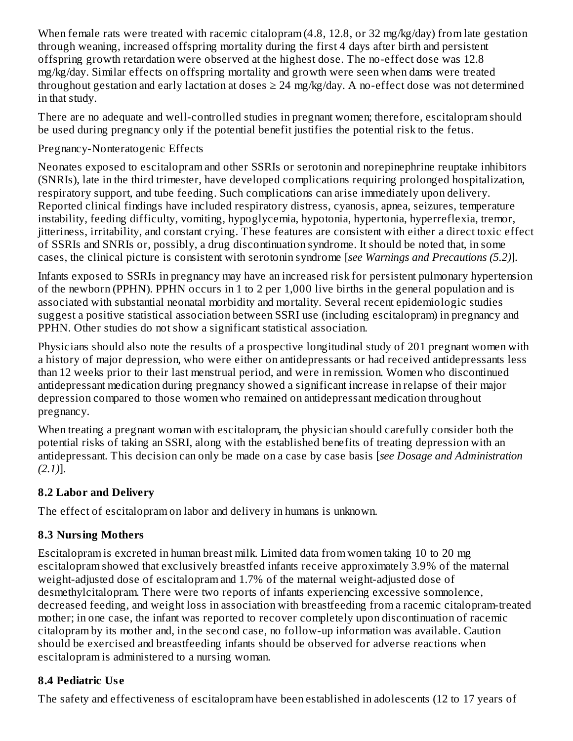When female rats were treated with racemic citalopram (4.8, 12.8, or 32 mg/kg/day) from late gestation through weaning, increased offspring mortality during the first 4 days after birth and persistent offspring growth retardation were observed at the highest dose. The no-effect dose was 12.8 mg/kg/day. Similar effects on offspring mortality and growth were seen when dams were treated throughout gestation and early lactation at doses  $\geq$  24 mg/kg/day. A no-effect dose was not determined in that study.

There are no adequate and well-controlled studies in pregnant women; therefore, escitalopram should be used during pregnancy only if the potential benefit justifies the potential risk to the fetus.

Pregnancy-Nonteratogenic Effects

Neonates exposed to escitalopram and other SSRIs or serotonin and norepinephrine reuptake inhibitors (SNRIs), late in the third trimester, have developed complications requiring prolonged hospitalization, respiratory support, and tube feeding. Such complications can arise immediately upon delivery. Reported clinical findings have included respiratory distress, cyanosis, apnea, seizures, temperature instability, feeding difficulty, vomiting, hypoglycemia, hypotonia, hypertonia, hyperreflexia, tremor, jitteriness, irritability, and constant crying. These features are consistent with either a direct toxic effect of SSRIs and SNRIs or, possibly, a drug discontinuation syndrome. It should be noted that, in some cases, the clinical picture is consistent with serotonin syndrome [*see Warnings and Precautions (5.2)*].

Infants exposed to SSRIs in pregnancy may have an increased risk for persistent pulmonary hypertension of the newborn (PPHN). PPHN occurs in 1 to 2 per 1,000 live births in the general population and is associated with substantial neonatal morbidity and mortality. Several recent epidemiologic studies suggest a positive statistical association between SSRI use (including escitalopram) in pregnancy and PPHN. Other studies do not show a significant statistical association.

Physicians should also note the results of a prospective longitudinal study of 201 pregnant women with a history of major depression, who were either on antidepressants or had received antidepressants less than 12 weeks prior to their last menstrual period, and were in remission. Women who discontinued antidepressant medication during pregnancy showed a significant increase in relapse of their major depression compared to those women who remained on antidepressant medication throughout pregnancy.

When treating a pregnant woman with escitalopram, the physician should carefully consider both the potential risks of taking an SSRI, along with the established benefits of treating depression with an antidepressant. This decision can only be made on a case by case basis [*see Dosage and Administration (2.1)*].

# **8.2 Labor and Delivery**

The effect of escitalopram on labor and delivery in humans is unknown.

# **8.3 Nursing Mothers**

Escitalopram is excreted in human breast milk. Limited data from women taking 10 to 20 mg escitalopram showed that exclusively breastfed infants receive approximately 3.9% of the maternal weight-adjusted dose of escitalopram and 1.7% of the maternal weight-adjusted dose of desmethylcitalopram. There were two reports of infants experiencing excessive somnolence, decreased feeding, and weight loss in association with breastfeeding from a racemic citalopram-treated mother; in one case, the infant was reported to recover completely upon discontinuation of racemic citalopram by its mother and, in the second case, no follow-up information was available. Caution should be exercised and breastfeeding infants should be observed for adverse reactions when escitalopram is administered to a nursing woman.

# **8.4 Pediatric Us e**

The safety and effectiveness of escitalopram have been established in adolescents (12 to 17 years of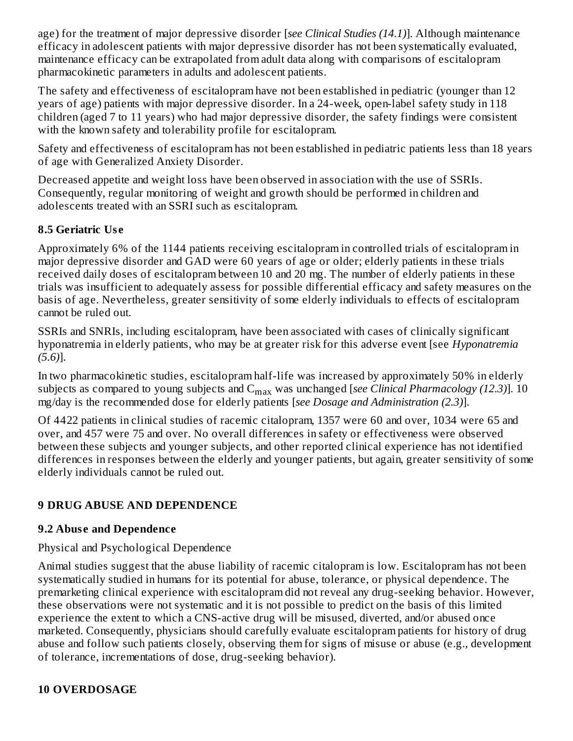age) for the treatment of major depressive disorder [*see Clinical Studies (14.1)*]. Although maintenance efficacy in adolescent patients with major depressive disorder has not been systematically evaluated, maintenance efficacy can be extrapolated from adult data along with comparisons of escitalopram pharmacokinetic parameters in adults and adolescent patients.

The safety and effectiveness of escitalopram have not been established in pediatric (younger than 12 years of age) patients with major depressive disorder. In a 24-week, open-label safety study in 118 children (aged 7 to 11 years) who had major depressive disorder, the safety findings were consistent with the known safety and tolerability profile for escitalopram.

Safety and effectiveness of escitalopram has not been established in pediatric patients less than 18 years of age with Generalized Anxiety Disorder.

Decreased appetite and weight loss have been observed in association with the use of SSRIs. Consequently, regular monitoring of weight and growth should be performed in children and adolescents treated with an SSRI such as escitalopram.

# **8.5 Geriatric Us e**

Approximately 6% of the 1144 patients receiving escitalopram in controlled trials of escitalopram in major depressive disorder and GAD were 60 years of age or older; elderly patients in these trials received daily doses of escitalopram between 10 and 20 mg. The number of elderly patients in these trials was insufficient to adequately assess for possible differential efficacy and safety measures on the basis of age. Nevertheless, greater sensitivity of some elderly individuals to effects of escitalopram cannot be ruled out.

SSRIs and SNRIs, including escitalopram, have been associated with cases of clinically significant hyponatremia in elderly patients, who may be at greater risk for this adverse event [see *Hyponatremia (5.6)*].

In two pharmacokinetic studies, escitalopram half-life was increased by approximately 50% in elderly subjects as compared to young subjects and  $\mathsf{C}_{\max}$  was unchanged [*see Clinical Pharmacology (12.3)*]. 10 mg/day is the recommended dose for elderly patients [*see Dosage and Administration (2.3)*].

Of 4422 patients in clinical studies of racemic citalopram, 1357 were 60 and over, 1034 were 65 and over, and 457 were 75 and over. No overall differences in safety or effectiveness were observed between these subjects and younger subjects, and other reported clinical experience has not identified differences in responses between the elderly and younger patients, but again, greater sensitivity of some elderly individuals cannot be ruled out.

# **9 DRUG ABUSE AND DEPENDENCE**

# **9.2 Abus e and Dependence**

# Physical and Psychological Dependence

Animal studies suggest that the abuse liability of racemic citalopram is low. Escitalopram has not been systematically studied in humans for its potential for abuse, tolerance, or physical dependence. The premarketing clinical experience with escitalopram did not reveal any drug-seeking behavior. However, these observations were not systematic and it is not possible to predict on the basis of this limited experience the extent to which a CNS-active drug will be misused, diverted, and/or abused once marketed. Consequently, physicians should carefully evaluate escitalopram patients for history of drug abuse and follow such patients closely, observing them for signs of misuse or abuse (e.g., development of tolerance, incrementations of dose, drug-seeking behavior).

# **10 OVERDOSAGE**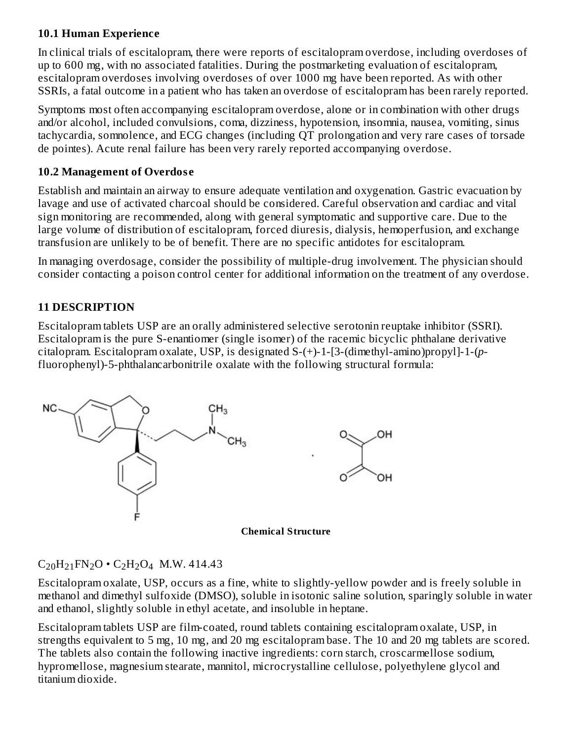### **10.1 Human Experience**

In clinical trials of escitalopram, there were reports of escitalopram overdose, including overdoses of up to 600 mg, with no associated fatalities. During the postmarketing evaluation of escitalopram, escitalopram overdoses involving overdoses of over 1000 mg have been reported. As with other SSRIs, a fatal outcome in a patient who has taken an overdose of escitalopram has been rarely reported.

Symptoms most often accompanying escitalopram overdose, alone or in combination with other drugs and/or alcohol, included convulsions, coma, dizziness, hypotension, insomnia, nausea, vomiting, sinus tachycardia, somnolence, and ECG changes (including QT prolongation and very rare cases of torsade de pointes). Acute renal failure has been very rarely reported accompanying overdose.

## **10.2 Management of Overdos e**

Establish and maintain an airway to ensure adequate ventilation and oxygenation. Gastric evacuation by lavage and use of activated charcoal should be considered. Careful observation and cardiac and vital sign monitoring are recommended, along with general symptomatic and supportive care. Due to the large volume of distribution of escitalopram, forced diuresis, dialysis, hemoperfusion, and exchange transfusion are unlikely to be of benefit. There are no specific antidotes for escitalopram.

In managing overdosage, consider the possibility of multiple-drug involvement. The physician should consider contacting a poison control center for additional information on the treatment of any overdose.

# **11 DESCRIPTION**

Escitalopram tablets USP are an orally administered selective serotonin reuptake inhibitor (SSRI). Escitalopram is the pure S-enantiomer (single isomer) of the racemic bicyclic phthalane derivative citalopram. Escitalopram oxalate, USP, is designated S-(+)-1-[3-(dimethyl-amino)propyl]-1-(*p*fluorophenyl)-5-phthalancarbonitrile oxalate with the following structural formula:





# $C_{20}H_{21}FN_{2}O \cdot C_{2}H_{2}O_{4}$  M.W. 414.43

Escitalopram oxalate, USP, occurs as a fine, white to slightly-yellow powder and is freely soluble in methanol and dimethyl sulfoxide (DMSO), soluble in isotonic saline solution, sparingly soluble in water and ethanol, slightly soluble in ethyl acetate, and insoluble in heptane.

Escitalopram tablets USP are film-coated, round tablets containing escitalopram oxalate, USP, in strengths equivalent to 5 mg, 10 mg, and 20 mg escitalopram base. The 10 and 20 mg tablets are scored. The tablets also contain the following inactive ingredients: corn starch, croscarmellose sodium, hypromellose, magnesium stearate, mannitol, microcrystalline cellulose, polyethylene glycol and titanium dioxide.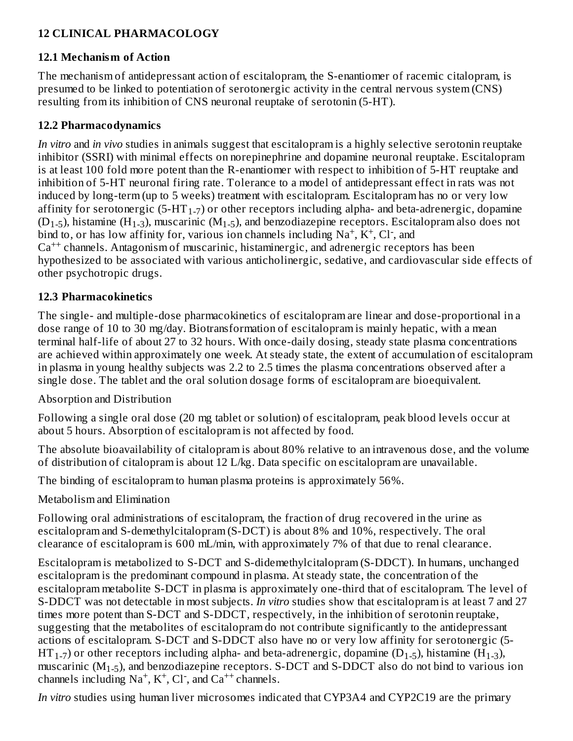# **12 CLINICAL PHARMACOLOGY**

## **12.1 Mechanism of Action**

The mechanism of antidepressant action of escitalopram, the S-enantiomer of racemic citalopram, is presumed to be linked to potentiation of serotonergic activity in the central nervous system (CNS) resulting from its inhibition of CNS neuronal reuptake of serotonin (5-HT).

## **12.2 Pharmacodynamics**

*In vitro* and *in vivo* studies in animals suggest that escitalopram is a highly selective serotonin reuptake inhibitor (SSRI) with minimal effects on norepinephrine and dopamine neuronal reuptake. Escitalopram is at least 100 fold more potent than the R-enantiomer with respect to inhibition of 5-HT reuptake and inhibition of 5-HT neuronal firing rate. Tolerance to a model of antidepressant effect in rats was not induced by long-term (up to 5 weeks) treatment with escitalopram. Escitalopram has no or very low affinity for serotonergic (5-HT<sub>1-7</sub>) or other receptors including alpha- and beta-adrenergic, dopamine (D<sub>1-5</sub>), histamine (H<sub>1-3</sub>), muscarinic (M<sub>1-5</sub>), and benzodiazepine receptors. Escitalopram also does not bind to, or has low affinity for, various ion channels including  $Na^+$ ,  $K^+$ , Cl<sup>-</sup>, and Ca<sup>++</sup> channels. Antagonism of muscarinic, histaminergic, and adrenergic receptors has been hypothesized to be associated with various anticholinergic, sedative, and cardiovascular side effects of other psychotropic drugs.

### **12.3 Pharmacokinetics**

The single- and multiple-dose pharmacokinetics of escitalopram are linear and dose-proportional in a dose range of 10 to 30 mg/day. Biotransformation of escitalopram is mainly hepatic, with a mean terminal half-life of about 27 to 32 hours. With once-daily dosing, steady state plasma concentrations are achieved within approximately one week. At steady state, the extent of accumulation of escitalopram in plasma in young healthy subjects was 2.2 to 2.5 times the plasma concentrations observed after a single dose. The tablet and the oral solution dosage forms of escitalopram are bioequivalent.

Absorption and Distribution

Following a single oral dose (20 mg tablet or solution) of escitalopram, peak blood levels occur at about 5 hours. Absorption of escitalopram is not affected by food.

The absolute bioavailability of citalopram is about 80% relative to an intravenous dose, and the volume of distribution of citalopram is about 12 L/kg. Data specific on escitalopram are unavailable.

The binding of escitalopram to human plasma proteins is approximately 56%.

Metabolism and Elimination

Following oral administrations of escitalopram, the fraction of drug recovered in the urine as escitalopram and S-demethylcitalopram (S-DCT) is about 8% and 10%, respectively. The oral clearance of escitalopram is 600 mL/min, with approximately 7% of that due to renal clearance.

Escitalopram is metabolized to S-DCT and S-didemethylcitalopram (S-DDCT). In humans, unchanged escitalopram is the predominant compound in plasma. At steady state, the concentration of the escitalopram metabolite S-DCT in plasma is approximately one-third that of escitalopram. The level of S-DDCT was not detectable in most subjects. *In vitro* studies show that escitalopram is at least 7 and 27 times more potent than S-DCT and S-DDCT, respectively, in the inhibition of serotonin reuptake, suggesting that the metabolites of escitalopram do not contribute significantly to the antidepressant actions of escitalopram. S-DCT and S-DDCT also have no or very low affinity for serotonergic (5-  $\rm{HT}_{1-7}$ ) or other receptors including alpha- and beta-adrenergic, dopamine (D $_{1-5}$ ), histamine (H $_{1-3}$ ), muscarinic (M $_{\rm 1-5}$ ), and benzodiazepine receptors. S-DCT and S-DDCT also do not bind to various ion channels including  $Na^+$ ,  $K^+$ , Cl<sup>-</sup>, and  $Ca^{++}$  channels.

*In vitro* studies using human liver microsomes indicated that CYP3A4 and CYP2C19 are the primary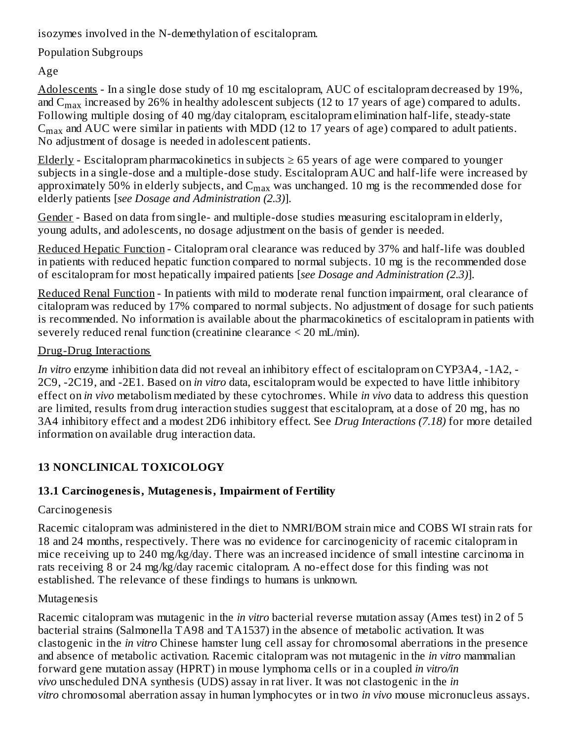isozymes involved in the N-demethylation of escitalopram.

Population Subgroups

Age

Adolescents - In a single dose study of 10 mg escitalopram, AUC of escitalopram decreased by 19%, and  $\rm{C_{max}}$  increased by 26% in healthy adolescent subjects (12 to 17 years of age) compared to adults. Following multiple dosing of 40 mg/day citalopram, escitalopram elimination half-life, steady-state  $\rm{C_{max}}$  and AUC were similar in patients with MDD (12 to 17 years of age) compared to adult patients. No adjustment of dosage is needed in adolescent patients.

Elderly - Escitalopram pharmacokinetics in subjects  $\geq 65$  years of age were compared to younger subjects in a single-dose and a multiple-dose study. Escitalopram AUC and half-life were increased by approximately 50% in elderly subjects, and  $\mathsf{C}_{\max}$  was unchanged. 10 mg is the recommended dose for elderly patients [*see Dosage and Administration (2.3)*].

Gender - Based on data from single- and multiple-dose studies measuring escitalopram in elderly, young adults, and adolescents, no dosage adjustment on the basis of gender is needed.

Reduced Hepatic Function - Citalopram oral clearance was reduced by 37% and half-life was doubled in patients with reduced hepatic function compared to normal subjects. 10 mg is the recommended dose of escitalopram for most hepatically impaired patients [*see Dosage and Administration (2.3)*].

Reduced Renal Function - In patients with mild to moderate renal function impairment, oral clearance of citalopram was reduced by 17% compared to normal subjects. No adjustment of dosage for such patients is recommended. No information is available about the pharmacokinetics of escitalopram in patients with severely reduced renal function (creatinine clearance < 20 mL/min).

# Drug-Drug Interactions

*In vitro* enzyme inhibition data did not reveal an inhibitory effect of escitalopram on CYP3A4, -1A2, - 2C9, -2C19, and -2E1. Based on *in vitro* data, escitalopram would be expected to have little inhibitory effect on *in vivo* metabolism mediated by these cytochromes. While *in vivo* data to address this question are limited, results from drug interaction studies suggest that escitalopram, at a dose of 20 mg, has no 3A4 inhibitory effect and a modest 2D6 inhibitory effect. See *Drug Interactions (7.18)* for more detailed information on available drug interaction data.

# **13 NONCLINICAL TOXICOLOGY**

# **13.1 Carcinogenesis, Mutagenesis, Impairment of Fertility**

# Carcinogenesis

Racemic citalopram was administered in the diet to NMRI/BOM strain mice and COBS WI strain rats for 18 and 24 months, respectively. There was no evidence for carcinogenicity of racemic citalopram in mice receiving up to 240 mg/kg/day. There was an increased incidence of small intestine carcinoma in rats receiving 8 or 24 mg/kg/day racemic citalopram. A no-effect dose for this finding was not established. The relevance of these findings to humans is unknown.

# Mutagenesis

Racemic citalopram was mutagenic in the *in vitro* bacterial reverse mutation assay (Ames test) in 2 of 5 bacterial strains (Salmonella TA98 and TA1537) in the absence of metabolic activation. It was clastogenic in the *in vitro* Chinese hamster lung cell assay for chromosomal aberrations in the presence and absence of metabolic activation. Racemic citalopram was not mutagenic in the *in vitro* mammalian forward gene mutation assay (HPRT) in mouse lymphoma cells or in a coupled *in vitro/in vivo* unscheduled DNA synthesis (UDS) assay in rat liver. It was not clastogenic in the *in vitro* chromosomal aberration assay in human lymphocytes or in two *in vivo* mouse micronucleus assays.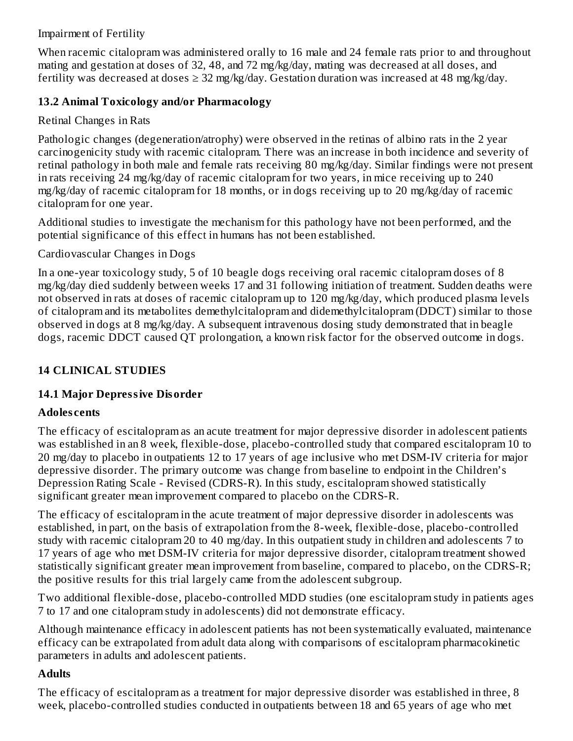### Impairment of Fertility

When racemic citalopram was administered orally to 16 male and 24 female rats prior to and throughout mating and gestation at doses of 32, 48, and 72 mg/kg/day, mating was decreased at all doses, and fertility was decreased at doses  $\geq 32$  mg/kg/day. Gestation duration was increased at 48 mg/kg/day.

# **13.2 Animal Toxicology and/or Pharmacology**

# Retinal Changes in Rats

Pathologic changes (degeneration/atrophy) were observed in the retinas of albino rats in the 2 year carcinogenicity study with racemic citalopram. There was an increase in both incidence and severity of retinal pathology in both male and female rats receiving 80 mg/kg/day. Similar findings were not present in rats receiving 24 mg/kg/day of racemic citalopram for two years, in mice receiving up to 240 mg/kg/day of racemic citalopram for 18 months, or in dogs receiving up to 20 mg/kg/day of racemic citalopram for one year.

Additional studies to investigate the mechanism for this pathology have not been performed, and the potential significance of this effect in humans has not been established.

# Cardiovascular Changes in Dogs

In a one-year toxicology study, 5 of 10 beagle dogs receiving oral racemic citalopram doses of 8 mg/kg/day died suddenly between weeks 17 and 31 following initiation of treatment. Sudden deaths were not observed in rats at doses of racemic citalopram up to 120 mg/kg/day, which produced plasma levels of citalopram and its metabolites demethylcitalopram and didemethylcitalopram (DDCT) similar to those observed in dogs at 8 mg/kg/day. A subsequent intravenous dosing study demonstrated that in beagle dogs, racemic DDCT caused QT prolongation, a known risk factor for the observed outcome in dogs.

# **14 CLINICAL STUDIES**

# **14.1 Major Depressive Disorder**

# **Adoles cents**

The efficacy of escitalopram as an acute treatment for major depressive disorder in adolescent patients was established in an 8 week, flexible-dose, placebo-controlled study that compared escitalopram 10 to 20 mg/day to placebo in outpatients 12 to 17 years of age inclusive who met DSM-IV criteria for major depressive disorder. The primary outcome was change from baseline to endpoint in the Children's Depression Rating Scale - Revised (CDRS-R). In this study, escitalopram showed statistically significant greater mean improvement compared to placebo on the CDRS-R.

The efficacy of escitalopram in the acute treatment of major depressive disorder in adolescents was established, in part, on the basis of extrapolation from the 8-week, flexible-dose, placebo-controlled study with racemic citalopram 20 to 40 mg/day. In this outpatient study in children and adolescents 7 to 17 years of age who met DSM-IV criteria for major depressive disorder, citalopram treatment showed statistically significant greater mean improvement from baseline, compared to placebo, on the CDRS-R; the positive results for this trial largely came from the adolescent subgroup.

Two additional flexible-dose, placebo-controlled MDD studies (one escitalopram study in patients ages 7 to 17 and one citalopram study in adolescents) did not demonstrate efficacy.

Although maintenance efficacy in adolescent patients has not been systematically evaluated, maintenance efficacy can be extrapolated from adult data along with comparisons of escitalopram pharmacokinetic parameters in adults and adolescent patients.

# **Adults**

The efficacy of escitalopram as a treatment for major depressive disorder was established in three, 8 week, placebo-controlled studies conducted in outpatients between 18 and 65 years of age who met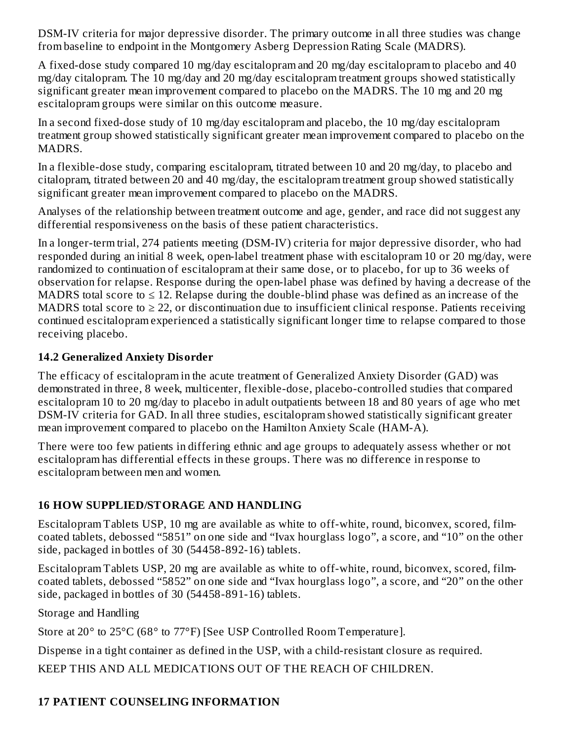DSM-IV criteria for major depressive disorder. The primary outcome in all three studies was change from baseline to endpoint in the Montgomery Asberg Depression Rating Scale (MADRS).

A fixed-dose study compared 10 mg/day escitalopram and 20 mg/day escitalopram to placebo and 40 mg/day citalopram. The 10 mg/day and 20 mg/day escitalopram treatment groups showed statistically significant greater mean improvement compared to placebo on the MADRS. The 10 mg and 20 mg escitalopram groups were similar on this outcome measure.

In a second fixed-dose study of 10 mg/day escitalopram and placebo, the 10 mg/day escitalopram treatment group showed statistically significant greater mean improvement compared to placebo on the MADRS.

In a flexible-dose study, comparing escitalopram, titrated between 10 and 20 mg/day, to placebo and citalopram, titrated between 20 and 40 mg/day, the escitalopram treatment group showed statistically significant greater mean improvement compared to placebo on the MADRS.

Analyses of the relationship between treatment outcome and age, gender, and race did not suggest any differential responsiveness on the basis of these patient characteristics.

In a longer-term trial, 274 patients meeting (DSM-IV) criteria for major depressive disorder, who had responded during an initial 8 week, open-label treatment phase with escitalopram 10 or 20 mg/day, were randomized to continuation of escitalopram at their same dose, or to placebo, for up to 36 weeks of observation for relapse. Response during the open-label phase was defined by having a decrease of the MADRS total score to  $\leq 12$ . Relapse during the double-blind phase was defined as an increase of the MADRS total score to  $\geq 22$ , or discontinuation due to insufficient clinical response. Patients receiving continued escitalopram experienced a statistically significant longer time to relapse compared to those receiving placebo.

### **14.2 Generalized Anxiety Disorder**

The efficacy of escitalopram in the acute treatment of Generalized Anxiety Disorder (GAD) was demonstrated in three, 8 week, multicenter, flexible-dose, placebo-controlled studies that compared escitalopram 10 to 20 mg/day to placebo in adult outpatients between 18 and 80 years of age who met DSM-IV criteria for GAD. In all three studies, escitalopram showed statistically significant greater mean improvement compared to placebo on the Hamilton Anxiety Scale (HAM-A).

There were too few patients in differing ethnic and age groups to adequately assess whether or not escitalopram has differential effects in these groups. There was no difference in response to escitalopram between men and women.

# **16 HOW SUPPLIED/STORAGE AND HANDLING**

Escitalopram Tablets USP, 10 mg are available as white to off-white, round, biconvex, scored, filmcoated tablets, debossed "5851" on one side and "Ivax hourglass logo", a score, and "10" on the other side, packaged in bottles of 30 (54458-892-16) tablets.

Escitalopram Tablets USP, 20 mg are available as white to off-white, round, biconvex, scored, filmcoated tablets, debossed "5852" on one side and "Ivax hourglass logo", a score, and "20" on the other side, packaged in bottles of 30 (54458-891-16) tablets.

Storage and Handling

Store at 20° to 25°C (68° to 77°F) [See USP Controlled Room Temperature].

Dispense in a tight container as defined in the USP, with a child-resistant closure as required.

KEEP THIS AND ALL MEDICATIONS OUT OF THE REACH OF CHILDREN.

# **17 PATIENT COUNSELING INFORMATION**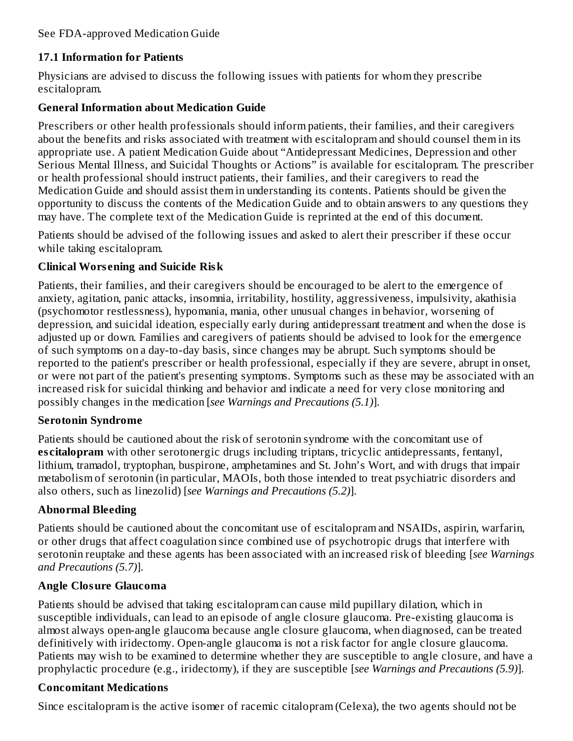# **17.1 Information for Patients**

Physicians are advised to discuss the following issues with patients for whom they prescribe escitalopram.

### **General Information about Medication Guide**

Prescribers or other health professionals should inform patients, their families, and their caregivers about the benefits and risks associated with treatment with escitalopram and should counsel them in its appropriate use. A patient Medication Guide about "Antidepressant Medicines, Depression and other Serious Mental Illness, and Suicidal Thoughts or Actions" is available for escitalopram. The prescriber or health professional should instruct patients, their families, and their caregivers to read the Medication Guide and should assist them in understanding its contents. Patients should be given the opportunity to discuss the contents of the Medication Guide and to obtain answers to any questions they may have. The complete text of the Medication Guide is reprinted at the end of this document.

Patients should be advised of the following issues and asked to alert their prescriber if these occur while taking escitalopram.

### **Clinical Wors ening and Suicide Risk**

Patients, their families, and their caregivers should be encouraged to be alert to the emergence of anxiety, agitation, panic attacks, insomnia, irritability, hostility, aggressiveness, impulsivity, akathisia (psychomotor restlessness), hypomania, mania, other unusual changes in behavior, worsening of depression, and suicidal ideation, especially early during antidepressant treatment and when the dose is adjusted up or down. Families and caregivers of patients should be advised to look for the emergence of such symptoms on a day-to-day basis, since changes may be abrupt. Such symptoms should be reported to the patient's prescriber or health professional, especially if they are severe, abrupt in onset, or were not part of the patient's presenting symptoms. Symptoms such as these may be associated with an increased risk for suicidal thinking and behavior and indicate a need for very close monitoring and possibly changes in the medication [*see Warnings and Precautions (5.1)*].

### **Serotonin Syndrome**

Patients should be cautioned about the risk of serotonin syndrome with the concomitant use of **es citalopram** with other serotonergic drugs including triptans, tricyclic antidepressants, fentanyl, lithium, tramadol, tryptophan, buspirone, amphetamines and St. John's Wort, and with drugs that impair metabolism of serotonin (in particular, MAOIs, both those intended to treat psychiatric disorders and also others, such as linezolid) [*see Warnings and Precautions (5.2)*].

# **Abnormal Bleeding**

Patients should be cautioned about the concomitant use of escitalopram and NSAIDs, aspirin, warfarin, or other drugs that affect coagulation since combined use of psychotropic drugs that interfere with serotonin reuptake and these agents has been associated with an increased risk of bleeding [*see Warnings and Precautions (5.7)*].

# **Angle Closure Glaucoma**

Patients should be advised that taking escitalopram can cause mild pupillary dilation, which in susceptible individuals, can lead to an episode of angle closure glaucoma. Pre-existing glaucoma is almost always open-angle glaucoma because angle closure glaucoma, when diagnosed, can be treated definitively with iridectomy. Open-angle glaucoma is not a risk factor for angle closure glaucoma. Patients may wish to be examined to determine whether they are susceptible to angle closure, and have a prophylactic procedure (e.g., iridectomy), if they are susceptible [*see Warnings and Precautions (5.9)*].

# **Concomitant Medications**

Since escitalopram is the active isomer of racemic citalopram (Celexa), the two agents should not be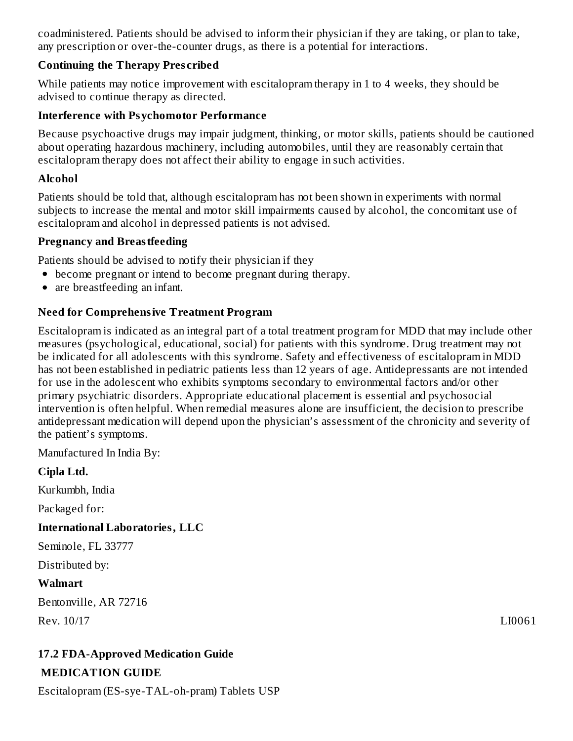coadministered. Patients should be advised to inform their physician if they are taking, or plan to take, any prescription or over-the-counter drugs, as there is a potential for interactions.

### **Continuing the Therapy Pres cribed**

While patients may notice improvement with escitalopram therapy in 1 to 4 weeks, they should be advised to continue therapy as directed.

## **Interference with Psychomotor Performance**

Because psychoactive drugs may impair judgment, thinking, or motor skills, patients should be cautioned about operating hazardous machinery, including automobiles, until they are reasonably certain that escitalopram therapy does not affect their ability to engage in such activities.

# **Alcohol**

Patients should be told that, although escitalopram has not been shown in experiments with normal subjects to increase the mental and motor skill impairments caused by alcohol, the concomitant use of escitalopram and alcohol in depressed patients is not advised.

# **Pregnancy and Breastfeeding**

Patients should be advised to notify their physician if they

- become pregnant or intend to become pregnant during therapy.
- are breastfeeding an infant.

# **Need for Comprehensive Treatment Program**

Escitalopram is indicated as an integral part of a total treatment program for MDD that may include other measures (psychological, educational, social) for patients with this syndrome. Drug treatment may not be indicated for all adolescents with this syndrome. Safety and effectiveness of escitalopram in MDD has not been established in pediatric patients less than 12 years of age. Antidepressants are not intended for use in the adolescent who exhibits symptoms secondary to environmental factors and/or other primary psychiatric disorders. Appropriate educational placement is essential and psychosocial intervention is often helpful. When remedial measures alone are insufficient, the decision to prescribe antidepressant medication will depend upon the physician's assessment of the chronicity and severity of the patient's symptoms.

Manufactured In India By:

# **Cipla Ltd.**

Kurkumbh, India

Packaged for:

# **International Laboratories, LLC**

Seminole, FL 33777

Distributed by:

# **Walmart**

Bentonville, AR 72716 Rev. 10/17 LI0061

# **17.2 FDA-Approved Medication Guide MEDICATION GUIDE**

Escitalopram (ES-sye-TAL-oh-pram) Tablets USP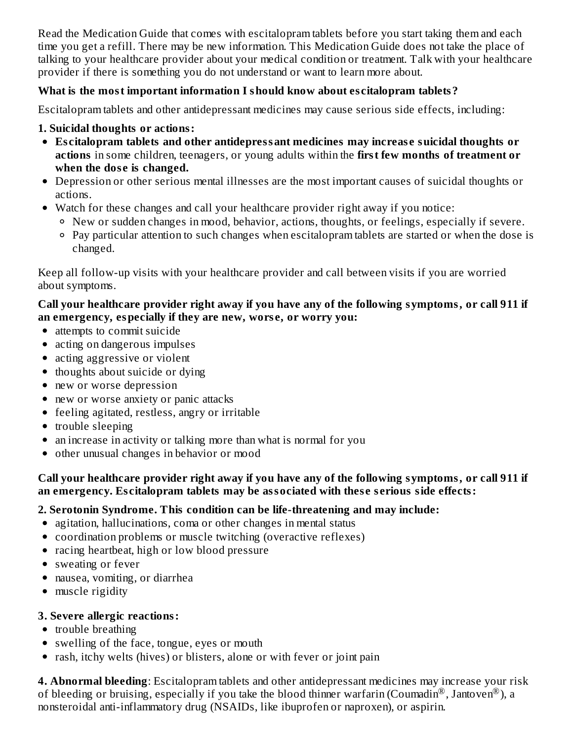Read the Medication Guide that comes with escitalopram tablets before you start taking them and each time you get a refill. There may be new information. This Medication Guide does not take the place of talking to your healthcare provider about your medical condition or treatment. Talk with your healthcare provider if there is something you do not understand or want to learn more about.

### **What is the most important information I should know about es citalopram tablets?**

Escitalopram tablets and other antidepressant medicines may cause serious side effects, including:

## **1. Suicidal thoughts or actions:**

- **Es citalopram tablets and other antidepressant medicines may increas e suicidal thoughts or actions** in some children, teenagers, or young adults within the **first few months of treatment or when the dos e is changed.**
- Depression or other serious mental illnesses are the most important causes of suicidal thoughts or actions.
- Watch for these changes and call your healthcare provider right away if you notice:
	- New or sudden changes in mood, behavior, actions, thoughts, or feelings, especially if severe.
	- Pay particular attention to such changes when escitalopram tablets are started or when the dose is changed.

Keep all follow-up visits with your healthcare provider and call between visits if you are worried about symptoms.

### **Call your healthcare provider right away if you have any of the following symptoms, or call 911 if an emergency, especially if they are new, wors e, or worry you:**

- attempts to commit suicide
- acting on dangerous impulses
- acting aggressive or violent
- thoughts about suicide or dying
- new or worse depression
- new or worse anxiety or panic attacks
- feeling agitated, restless, angry or irritable
- trouble sleeping
- an increase in activity or talking more than what is normal for you
- other unusual changes in behavior or mood

### **Call your healthcare provider right away if you have any of the following symptoms, or call 911 if an emergency. Es citalopram tablets may be associated with thes e s erious side effects:**

# **2. Serotonin Syndrome. This condition can be life-threatening and may include:**

- agitation, hallucinations, coma or other changes in mental status
- coordination problems or muscle twitching (overactive reflexes)
- racing heartbeat, high or low blood pressure
- sweating or fever
- nausea, vomiting, or diarrhea
- muscle rigidity

# **3. Severe allergic reactions:**

- trouble breathing
- swelling of the face, tongue, eyes or mouth
- rash, itchy welts (hives) or blisters, alone or with fever or joint pain

**4. Abnormal bleeding**: Escitalopram tablets and other antidepressant medicines may increase your risk of bleeding or bruising, especially if you take the blood thinner warfarin (Coumadin®, Jantoven®), a nonsteroidal anti-inflammatory drug (NSAIDs, like ibuprofen or naproxen), or aspirin.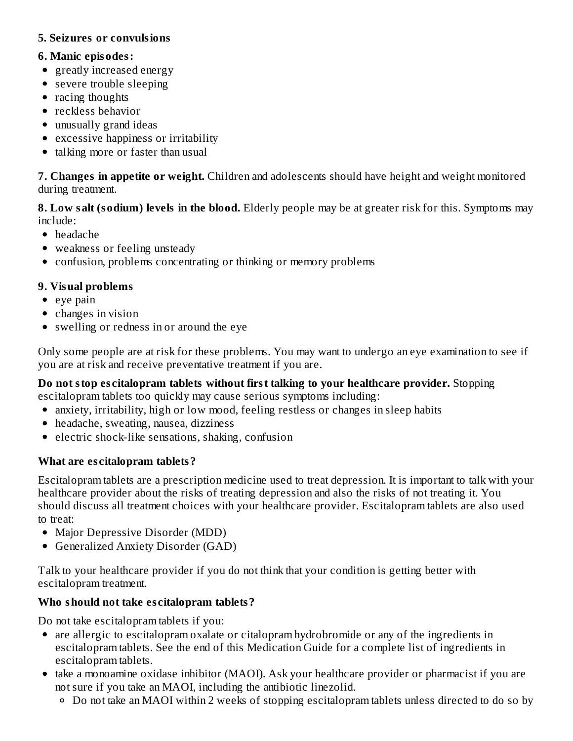### **5. Seizures or convulsions**

### **6. Manic episodes:**

- greatly increased energy
- severe trouble sleeping
- racing thoughts
- reckless behavior
- unusually grand ideas
- excessive happiness or irritability
- talking more or faster than usual

**7. Changes in appetite or weight.** Children and adolescents should have height and weight monitored during treatment.

**8. Low salt (sodium) levels in the blood.** Elderly people may be at greater risk for this. Symptoms may include:

- headache
- weakness or feeling unsteady
- confusion, problems concentrating or thinking or memory problems

# **9. Visual problems**

- $\bullet$  eye pain
- changes in vision
- swelling or redness in or around the eye

Only some people are at risk for these problems. You may want to undergo an eye examination to see if you are at risk and receive preventative treatment if you are.

# **Do not stop es citalopram tablets without first talking to your healthcare provider.** Stopping

escitalopram tablets too quickly may cause serious symptoms including:

- anxiety, irritability, high or low mood, feeling restless or changes in sleep habits
- headache, sweating, nausea, dizziness
- electric shock-like sensations, shaking, confusion

# **What are es citalopram tablets?**

Escitalopram tablets are a prescription medicine used to treat depression. It is important to talk with your healthcare provider about the risks of treating depression and also the risks of not treating it. You should discuss all treatment choices with your healthcare provider. Escitalopram tablets are also used to treat:

- Major Depressive Disorder (MDD)
- Generalized Anxiety Disorder (GAD)

Talk to your healthcare provider if you do not think that your condition is getting better with escitalopram treatment.

# **Who should not take es citalopram tablets?**

Do not take escitalopram tablets if you:

- are allergic to escitalopram oxalate or citalopram hydrobromide or any of the ingredients in escitalopram tablets. See the end of this Medication Guide for a complete list of ingredients in escitalopram tablets.
- take a monoamine oxidase inhibitor (MAOI). Ask your healthcare provider or pharmacist if you are not sure if you take an MAOI, including the antibiotic linezolid.
	- Do not take an MAOI within 2 weeks of stopping escitalopram tablets unless directed to do so by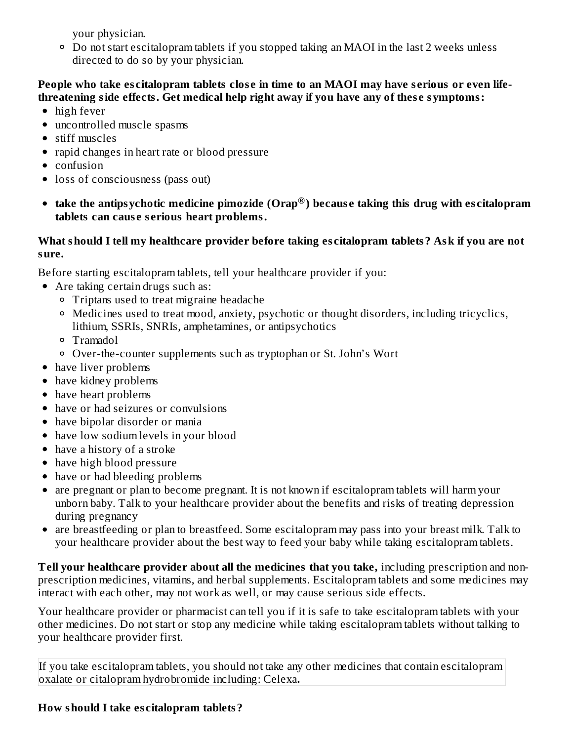your physician.

Do not start escitalopram tablets if you stopped taking an MAOI in the last 2 weeks unless directed to do so by your physician.

#### People who take escitalopram tablets close in time to an MAOI may have serious or even life**threatening side effects. Get medical help right away if you have any of thes e symptoms:**

- high fever
- uncontrolled muscle spasms
- stiff muscles
- rapid changes in heart rate or blood pressure
- confusion
- loss of consciousness (pass out)
- **take the antipsychotic medicine pimozide (Orap ) becaus e taking this drug with es citalopram ®tablets can caus e s erious heart problems.**

### **What should I tell my healthcare provider before taking es citalopram tablets? Ask if you are not sure.**

Before starting escitalopram tablets, tell your healthcare provider if you:

- Are taking certain drugs such as:
	- Triptans used to treat migraine headache
	- Medicines used to treat mood, anxiety, psychotic or thought disorders, including tricyclics, lithium, SSRIs, SNRIs, amphetamines, or antipsychotics
	- Tramadol
	- Over-the-counter supplements such as tryptophan or St. John's Wort
- have liver problems
- have kidney problems
- have heart problems
- have or had seizures or convulsions
- have bipolar disorder or mania
- have low sodium levels in your blood
- have a history of a stroke
- have high blood pressure
- have or had bleeding problems
- are pregnant or plan to become pregnant. It is not known if escitalopram tablets will harm your  $\bullet$ unborn baby. Talk to your healthcare provider about the benefits and risks of treating depression during pregnancy
- $\bullet$ are breastfeeding or plan to breastfeed. Some escitalopram may pass into your breast milk. Talk to your healthcare provider about the best way to feed your baby while taking escitalopram tablets.

**Tell your healthcare provider about all the medicines that you take,** including prescription and nonprescription medicines, vitamins, and herbal supplements. Escitalopram tablets and some medicines may interact with each other, may not work as well, or may cause serious side effects.

Your healthcare provider or pharmacist can tell you if it is safe to take escitalopram tablets with your other medicines. Do not start or stop any medicine while taking escitalopram tablets without talking to your healthcare provider first.

If you take escitalopram tablets, you should not take any other medicines that contain escitalopram oxalate or citalopram hydrobromide including: Celexa**.**

# **How should I take es citalopram tablets?**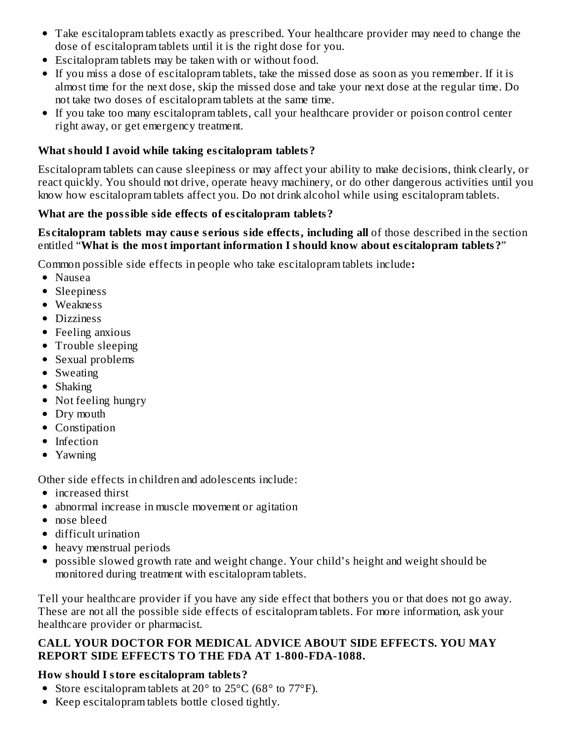- Take escitalopram tablets exactly as prescribed. Your healthcare provider may need to change the dose of escitalopram tablets until it is the right dose for you.
- Escitalopram tablets may be taken with or without food.
- If you miss a dose of escitalopram tablets, take the missed dose as soon as you remember. If it is almost time for the next dose, skip the missed dose and take your next dose at the regular time. Do not take two doses of escitalopram tablets at the same time.
- If you take too many escitalopram tablets, call your healthcare provider or poison control center right away, or get emergency treatment.

## **What should I avoid while taking es citalopram tablets?**

Escitalopram tablets can cause sleepiness or may affect your ability to make decisions, think clearly, or react quickly. You should not drive, operate heavy machinery, or do other dangerous activities until you know how escitalopram tablets affect you. Do not drink alcohol while using escitalopram tablets.

### **What are the possible side effects of es citalopram tablets?**

#### **Es citalopram tablets may caus e s erious side effects, including all** of those described in the section entitled "**What is the most important information I should know about es citalopram tablets?**"

Common possible side effects in people who take escitalopram tablets include**:**

- Nausea
- Sleepiness
- Weakness
- Dizziness
- Feeling anxious
- Trouble sleeping
- Sexual problems
- Sweating
- Shaking
- Not feeling hungry
- Dry mouth
- Constipation
- Infection
- Yawning

Other side effects in children and adolescents include:

- increased thirst
- abnormal increase in muscle movement or agitation
- nose bleed
- difficult urination
- heavy menstrual periods
- possible slowed growth rate and weight change. Your child's height and weight should be monitored during treatment with escitalopram tablets.

Tell your healthcare provider if you have any side effect that bothers you or that does not go away. These are not all the possible side effects of escitalopram tablets. For more information, ask your healthcare provider or pharmacist.

### **CALL YOUR DOCTOR FOR MEDICAL ADVICE ABOUT SIDE EFFECTS. YOU MAY REPORT SIDE EFFECTS TO THE FDA AT 1-800-FDA-1088.**

# **How should I store es citalopram tablets?**

- Store escitalopram tablets at  $20^{\circ}$  to  $25^{\circ}$ C (68 $^{\circ}$  to  $77^{\circ}$ F).
- Keep escitalopram tablets bottle closed tightly.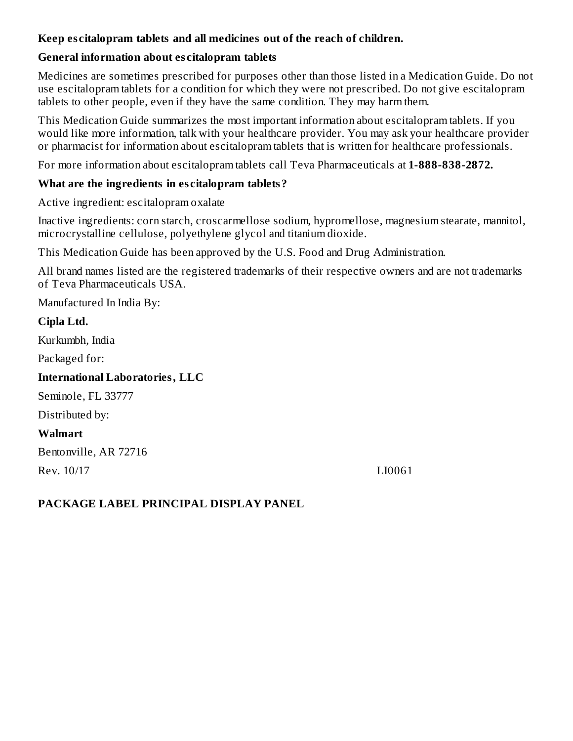### **Keep es citalopram tablets and all medicines out of the reach of children.**

# **General information about es citalopram tablets**

Medicines are sometimes prescribed for purposes other than those listed in a Medication Guide. Do not use escitalopram tablets for a condition for which they were not prescribed. Do not give escitalopram tablets to other people, even if they have the same condition. They may harm them.

This Medication Guide summarizes the most important information about escitalopram tablets. If you would like more information, talk with your healthcare provider. You may ask your healthcare provider or pharmacist for information about escitalopram tablets that is written for healthcare professionals.

For more information about escitalopram tablets call Teva Pharmaceuticals at **1-888-838-2872.**

# **What are the ingredients in es citalopram tablets?**

Active ingredient: escitalopram oxalate

Inactive ingredients: corn starch, croscarmellose sodium, hypromellose, magnesium stearate, mannitol, microcrystalline cellulose, polyethylene glycol and titanium dioxide.

This Medication Guide has been approved by the U.S. Food and Drug Administration.

All brand names listed are the registered trademarks of their respective owners and are not trademarks of Teva Pharmaceuticals USA.

Manufactured In India By:

# **Cipla Ltd.**

Kurkumbh, India

Packaged for:

# **International Laboratories, LLC**

Seminole, FL 33777

Distributed by:

# **Walmart**

Bentonville, AR 72716

Rev. 10/17 LI0061

# **PACKAGE LABEL PRINCIPAL DISPLAY PANEL**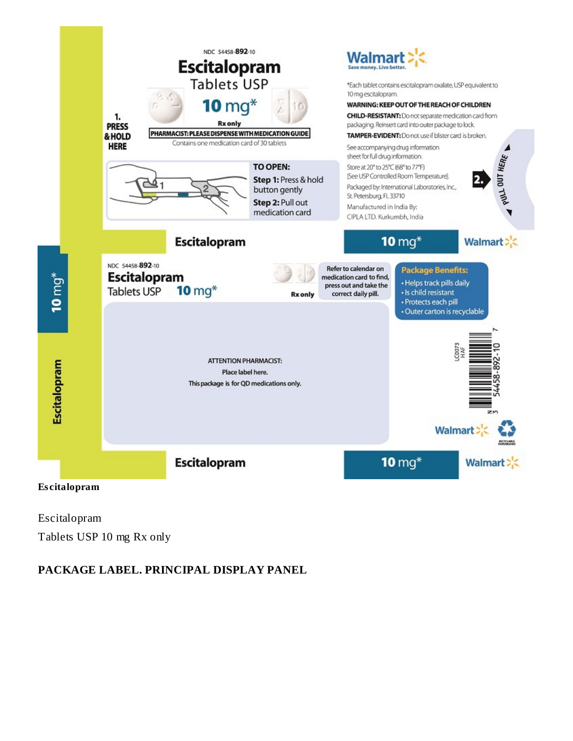

Escitalopram Tablets USP 10 mg Rx only

### **PACKAGE LABEL. PRINCIPAL DISPLAY PANEL**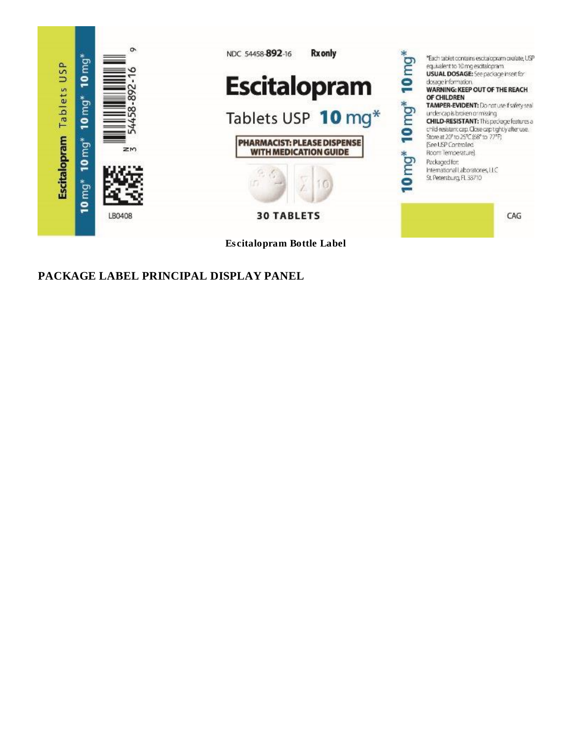

**PACKAGE LABEL PRINCIPAL DISPLAY PANEL**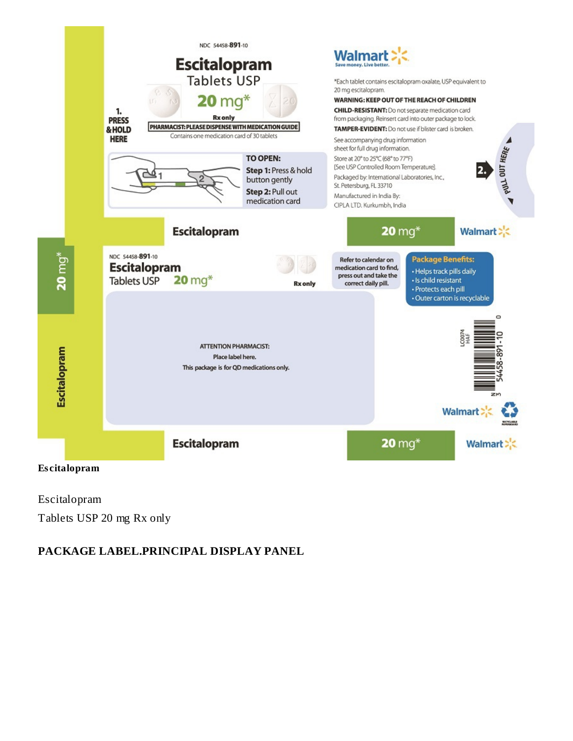

Escitalopram Tablets USP 20 mg Rx only

# **PACKAGE LABEL.PRINCIPAL DISPLAY PANEL**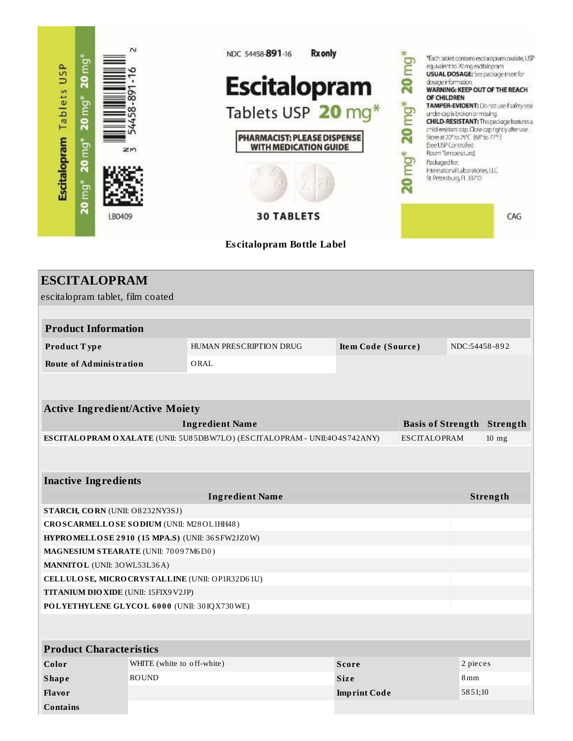

| <b>ESCITALOPRAM</b>                                                                       |                            |                                                                              |                     |                     |                 |                                   |
|-------------------------------------------------------------------------------------------|----------------------------|------------------------------------------------------------------------------|---------------------|---------------------|-----------------|-----------------------------------|
| escitalopram tablet, film coated                                                          |                            |                                                                              |                     |                     |                 |                                   |
|                                                                                           |                            |                                                                              |                     |                     |                 |                                   |
| <b>Product Information</b>                                                                |                            |                                                                              |                     |                     |                 |                                   |
| Product Type                                                                              |                            | HUMAN PRESCRIPTION DRUG                                                      | Item Code (Source)  |                     | NDC:54458-892   |                                   |
| <b>Route of Administration</b>                                                            |                            | ORAL                                                                         |                     |                     |                 |                                   |
|                                                                                           |                            |                                                                              |                     |                     |                 |                                   |
|                                                                                           |                            |                                                                              |                     |                     |                 |                                   |
| <b>Active Ingredient/Active Moiety</b>                                                    |                            |                                                                              |                     |                     |                 |                                   |
|                                                                                           |                            | <b>Ingredient Name</b>                                                       |                     |                     |                 | <b>Basis of Strength Strength</b> |
|                                                                                           |                            | ESCITALO PRAM O XALATE (UNII: 5U85DBW7LO) (ESCITALO PRAM - UNII:4O 4S742ANY) |                     | <b>ESCITALOPRAM</b> |                 | $10$ mg                           |
|                                                                                           |                            |                                                                              |                     |                     |                 |                                   |
|                                                                                           |                            |                                                                              |                     |                     |                 |                                   |
| <b>Inactive Ingredients</b>                                                               |                            |                                                                              |                     |                     |                 |                                   |
| <b>Ingredient Name</b><br>Strength                                                        |                            |                                                                              |                     |                     |                 |                                   |
| STARCH, CORN (UNII: O8232NY3SJ)                                                           |                            |                                                                              |                     |                     |                 |                                   |
| CROSCARMELLOSE SODIUM (UNII: M28OL1HH48)                                                  |                            |                                                                              |                     |                     |                 |                                   |
| HYPROMELLOSE 2910 (15 MPA.S) (UNII: 36 SFW2JZ0W)<br>MAGNESIUM STEARATE (UNII: 70097M6I30) |                            |                                                                              |                     |                     |                 |                                   |
| MANNITOL (UNII: 30WL53L36A)                                                               |                            |                                                                              |                     |                     |                 |                                   |
| CELLULOSE, MICRO CRYSTALLINE (UNII: OP1R32D61U)                                           |                            |                                                                              |                     |                     |                 |                                   |
| TITANIUM DIO XIDE (UNII: 15FIX9 V2JP)                                                     |                            |                                                                              |                     |                     |                 |                                   |
| POLYETHYLENE GLYCOL 6000 (UNII: 30IQX730WE)                                               |                            |                                                                              |                     |                     |                 |                                   |
|                                                                                           |                            |                                                                              |                     |                     |                 |                                   |
|                                                                                           |                            |                                                                              |                     |                     |                 |                                   |
| <b>Product Characteristics</b>                                                            |                            |                                                                              |                     |                     |                 |                                   |
| Color                                                                                     | WHITE (white to off-white) |                                                                              | <b>Score</b>        |                     | 2 pieces        |                                   |
| <b>Shape</b>                                                                              | <b>ROUND</b>               |                                                                              | <b>Size</b>         |                     | 8 <sub>mm</sub> |                                   |
| Flavor                                                                                    |                            |                                                                              | <b>Imprint Code</b> |                     | 5851;10         |                                   |
| <b>Contains</b>                                                                           |                            |                                                                              |                     |                     |                 |                                   |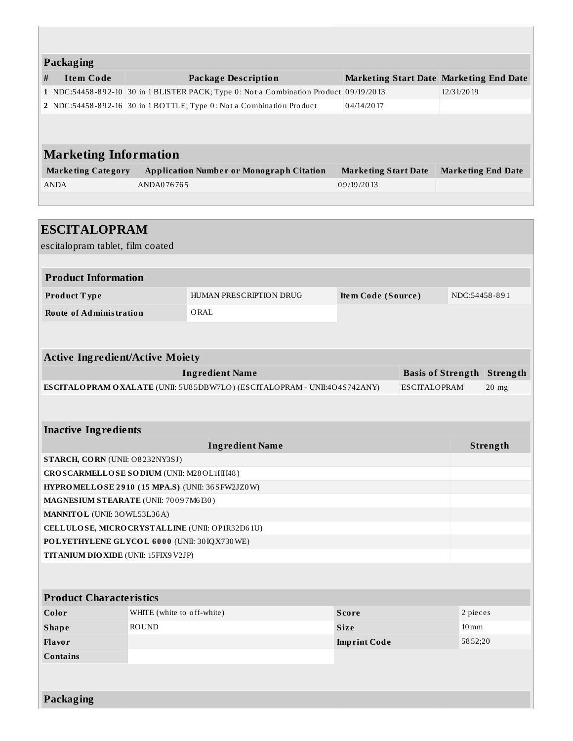|   | <b>Packaging</b>             |                                                                                       |                                                |                           |  |  |  |  |
|---|------------------------------|---------------------------------------------------------------------------------------|------------------------------------------------|---------------------------|--|--|--|--|
| # | <b>Item Code</b>             | Package Description                                                                   | <b>Marketing Start Date Marketing End Date</b> |                           |  |  |  |  |
|   |                              | 1 NDC:54458-892-10 30 in 1 BLISTER PACK; Type 0: Not a Combination Product 09/19/2013 |                                                | 12/31/2019                |  |  |  |  |
|   |                              | 2 NDC:54458-892-16 30 in 1 BOTTLE; Type 0: Not a Combination Product                  | 04/14/2017                                     |                           |  |  |  |  |
|   |                              |                                                                                       |                                                |                           |  |  |  |  |
|   |                              |                                                                                       |                                                |                           |  |  |  |  |
|   | <b>Marketing Information</b> |                                                                                       |                                                |                           |  |  |  |  |
|   | <b>Marketing Category</b>    | <b>Application Number or Monograph Citation</b>                                       | <b>Marketing Start Date</b>                    | <b>Marketing End Date</b> |  |  |  |  |
|   | <b>ANDA</b>                  | ANDA076765                                                                            | 09/19/2013                                     |                           |  |  |  |  |
|   |                              |                                                                                       |                                                |                           |  |  |  |  |

L

| <b>ESCITALOPRAM</b>                                 |  |                                                                             |                     |                                   |               |          |
|-----------------------------------------------------|--|-----------------------------------------------------------------------------|---------------------|-----------------------------------|---------------|----------|
| escitalopram tablet, film coated                    |  |                                                                             |                     |                                   |               |          |
|                                                     |  |                                                                             |                     |                                   |               |          |
| <b>Product Information</b>                          |  |                                                                             |                     |                                   |               |          |
| Product Type                                        |  | HUMAN PRESCRIPTION DRUG                                                     | Item Code (Source)  |                                   | NDC:54458-891 |          |
| <b>Route of Administration</b>                      |  | ORAL                                                                        |                     |                                   |               |          |
|                                                     |  |                                                                             |                     |                                   |               |          |
|                                                     |  |                                                                             |                     |                                   |               |          |
| <b>Active Ingredient/Active Moiety</b>              |  |                                                                             |                     |                                   |               |          |
|                                                     |  | <b>Ingredient Name</b>                                                      |                     | <b>Basis of Strength Strength</b> |               |          |
|                                                     |  | ESCITALO PRAM O XALATE (UNII: 5U85DBW7LO) (ESCITALO PRAM - UNII:4O4S742ANY) |                     | <b>ESCITALOPRAM</b>               |               | $20$ mg  |
|                                                     |  |                                                                             |                     |                                   |               |          |
|                                                     |  |                                                                             |                     |                                   |               |          |
| <b>Inactive Ingredients</b>                         |  |                                                                             |                     |                                   |               |          |
|                                                     |  | <b>Ingredient Name</b>                                                      |                     |                                   |               | Strength |
| STARCH, CORN (UNII: O8232NY3SJ)                     |  |                                                                             |                     |                                   |               |          |
| CROSCARMELLOSE SODIUM (UNII: M28OL1HH48)            |  |                                                                             |                     |                                   |               |          |
| HYPROMELLOSE 2910 (15 MPA.S) (UNII: 36 SFW2JZ0W)    |  |                                                                             |                     |                                   |               |          |
| MAGNESIUM STEARATE (UNII: 70097M6I30)               |  |                                                                             |                     |                                   |               |          |
| MANNITOL (UNII: 30WL53L36A)                         |  |                                                                             |                     |                                   |               |          |
| CELLULOSE, MICRO CRYSTALLINE (UNII: OP1R32D61U)     |  |                                                                             |                     |                                   |               |          |
| POLYETHYLENE GLYCOL 6000 (UNII: 30IQX730WE)         |  |                                                                             |                     |                                   |               |          |
| TITANIUM DIO XIDE (UNII: 15FIX9 V2JP)               |  |                                                                             |                     |                                   |               |          |
|                                                     |  |                                                                             |                     |                                   |               |          |
| <b>Product Characteristics</b>                      |  |                                                                             |                     |                                   |               |          |
| Color<br>WHITE (white to off-white)<br><b>Score</b> |  |                                                                             |                     |                                   | 2 pieces      |          |
| <b>ROUND</b><br><b>Shape</b><br><b>Size</b>         |  |                                                                             | $10 \,\mathrm{mm}$  |                                   |               |          |
| Flavor                                              |  |                                                                             | <b>Imprint Code</b> |                                   | 5852;20       |          |
| <b>Contains</b>                                     |  |                                                                             |                     |                                   |               |          |
|                                                     |  |                                                                             |                     |                                   |               |          |
|                                                     |  |                                                                             |                     |                                   |               |          |
| Packaging                                           |  |                                                                             |                     |                                   |               |          |